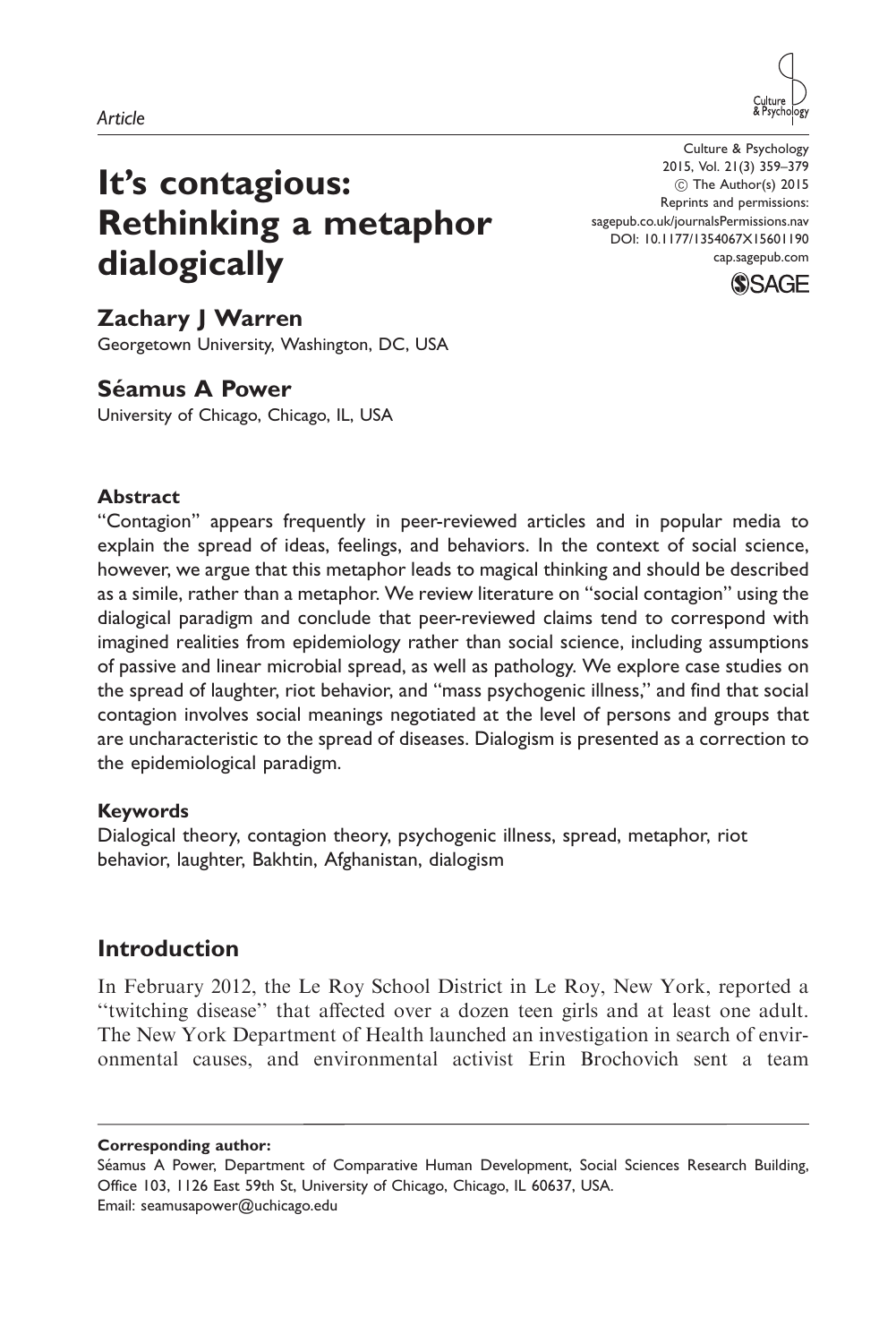



# It's contagious: Rethinking a metaphor dialogically

Culture & Psychology 2015, Vol. 21(3) 359–379 ! The Author(s) 2015 Reprints and permissions: sagepub.co.uk/journalsPermissions.nav DOI: 10.1177/1354067X15601190 cap.sagepub.com



# Zachary J Warren

Georgetown University, Washington, DC, USA

# Séamus A Power

University of Chicago, Chicago, IL, USA

### Abstract

''Contagion'' appears frequently in peer-reviewed articles and in popular media to explain the spread of ideas, feelings, and behaviors. In the context of social science, however, we argue that this metaphor leads to magical thinking and should be described as a simile, rather than a metaphor. We review literature on ''social contagion'' using the dialogical paradigm and conclude that peer-reviewed claims tend to correspond with imagined realities from epidemiology rather than social science, including assumptions of passive and linear microbial spread, as well as pathology. We explore case studies on the spread of laughter, riot behavior, and ''mass psychogenic illness,'' and find that social contagion involves social meanings negotiated at the level of persons and groups that are uncharacteristic to the spread of diseases. Dialogism is presented as a correction to the epidemiological paradigm.

### Keywords

Dialogical theory, contagion theory, psychogenic illness, spread, metaphor, riot behavior, laughter, Bakhtin, Afghanistan, dialogism

# Introduction

In February 2012, the Le Roy School District in Le Roy, New York, reported a ''twitching disease'' that affected over a dozen teen girls and at least one adult. The New York Department of Health launched an investigation in search of environmental causes, and environmental activist Erin Brochovich sent a team

Corresponding author:

Séamus A Power, Department of Comparative Human Development, Social Sciences Research Building, Office 103, 1126 East 59th St, University of Chicago, Chicago, IL 60637, USA. Email: seamusapower@uchicago.edu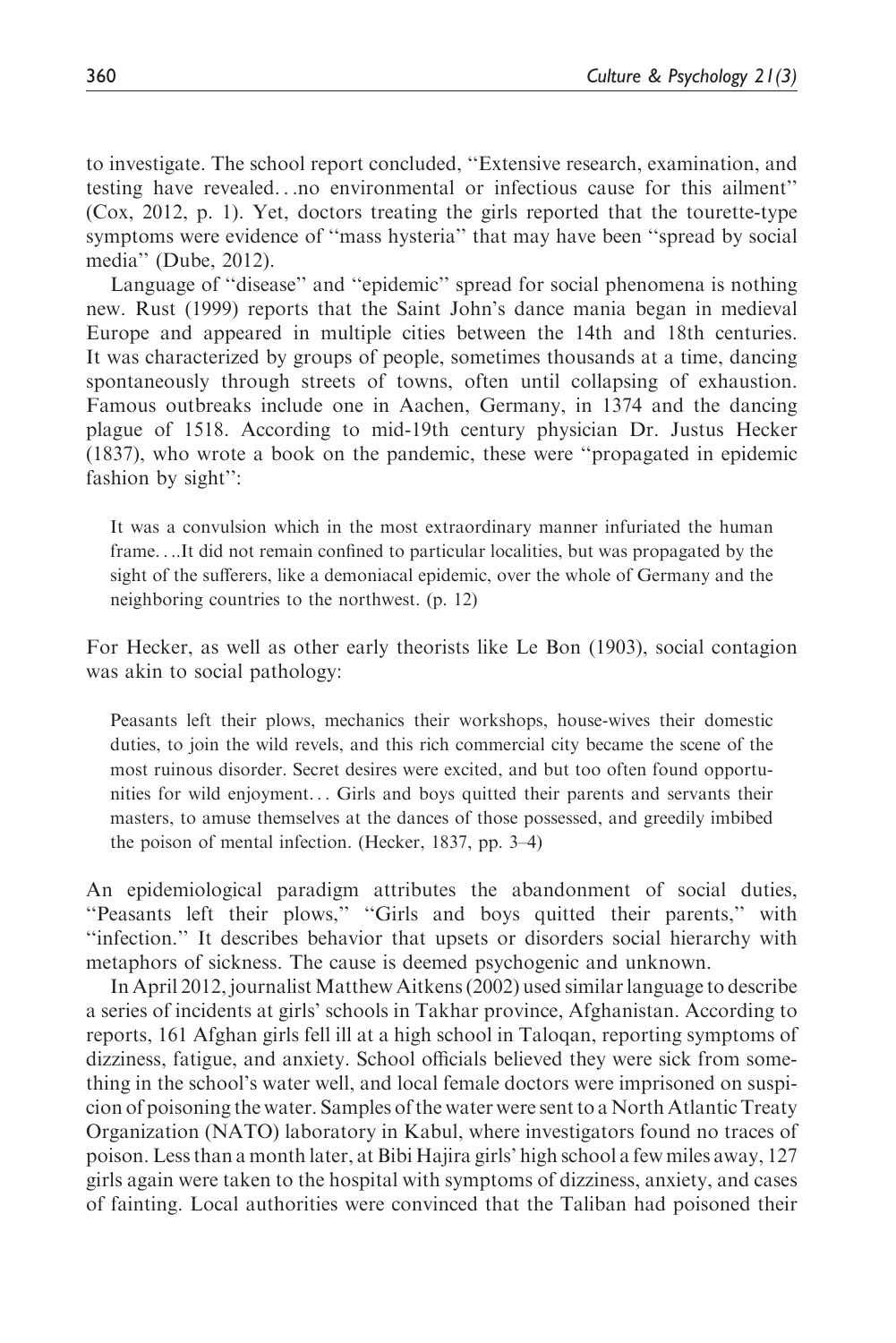to investigate. The school report concluded, ''Extensive research, examination, and testing have revealed...no environmental or infectious cause for this ailment'' (Cox, 2012, p. 1). Yet, doctors treating the girls reported that the tourette-type symptoms were evidence of ''mass hysteria'' that may have been ''spread by social media'' (Dube, 2012).

Language of ''disease'' and ''epidemic'' spread for social phenomena is nothing new. Rust (1999) reports that the Saint John's dance mania began in medieval Europe and appeared in multiple cities between the 14th and 18th centuries. It was characterized by groups of people, sometimes thousands at a time, dancing spontaneously through streets of towns, often until collapsing of exhaustion. Famous outbreaks include one in Aachen, Germany, in 1374 and the dancing plague of 1518. According to mid-19th century physician Dr. Justus Hecker (1837), who wrote a book on the pandemic, these were ''propagated in epidemic fashion by sight'':

It was a convulsion which in the most extraordinary manner infuriated the human frame....It did not remain confined to particular localities, but was propagated by the sight of the sufferers, like a demoniacal epidemic, over the whole of Germany and the neighboring countries to the northwest. (p. 12)

For Hecker, as well as other early theorists like Le Bon (1903), social contagion was akin to social pathology:

Peasants left their plows, mechanics their workshops, house-wives their domestic duties, to join the wild revels, and this rich commercial city became the scene of the most ruinous disorder. Secret desires were excited, and but too often found opportunities for wild enjoyment... Girls and boys quitted their parents and servants their masters, to amuse themselves at the dances of those possessed, and greedily imbibed the poison of mental infection. (Hecker, 1837, pp. 3–4)

An epidemiological paradigm attributes the abandonment of social duties, ''Peasants left their plows,'' ''Girls and boys quitted their parents,'' with ''infection.'' It describes behavior that upsets or disorders social hierarchy with metaphors of sickness. The cause is deemed psychogenic and unknown.

In April 2012, journalistMatthew Aitkens (2002) used similar language to describe a series of incidents at girls' schools in Takhar province, Afghanistan. According to reports, 161 Afghan girls fell ill at a high school in Taloqan, reporting symptoms of dizziness, fatigue, and anxiety. School officials believed they were sick from something in the school's water well, and local female doctors were imprisoned on suspicion of poisoning the water. Samples of the water were sent to a North Atlantic Treaty Organization (NATO) laboratory in Kabul, where investigators found no traces of poison. Less than a month later, at Bibi Hajira girls' high school a few miles away, 127 girls again were taken to the hospital with symptoms of dizziness, anxiety, and cases of fainting. Local authorities were convinced that the Taliban had poisoned their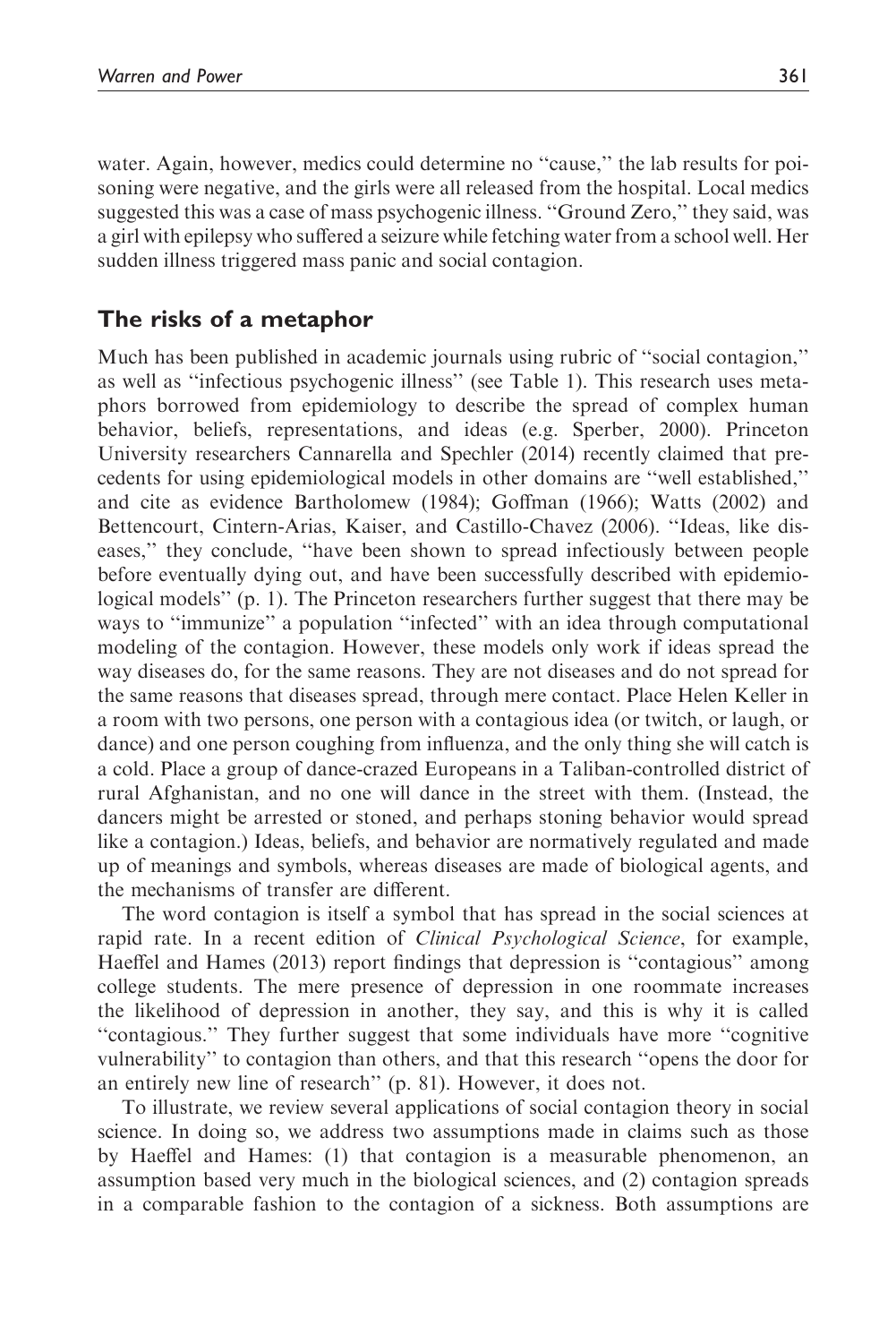water. Again, however, medics could determine no "cause," the lab results for poisoning were negative, and the girls were all released from the hospital. Local medics suggested this was a case of mass psychogenic illness. ''Ground Zero,'' they said, was a girl with epilepsy who suffered a seizure while fetching water from a school well. Her sudden illness triggered mass panic and social contagion.

# The risks of a metaphor

Much has been published in academic journals using rubric of ''social contagion,'' as well as ''infectious psychogenic illness'' (see Table 1). This research uses metaphors borrowed from epidemiology to describe the spread of complex human behavior, beliefs, representations, and ideas (e.g. Sperber, 2000). Princeton University researchers Cannarella and Spechler (2014) recently claimed that precedents for using epidemiological models in other domains are ''well established,'' and cite as evidence Bartholomew (1984); Goffman (1966); Watts (2002) and Bettencourt, Cintern-Arias, Kaiser, and Castillo-Chavez (2006). ''Ideas, like diseases,'' they conclude, ''have been shown to spread infectiously between people before eventually dying out, and have been successfully described with epidemiological models'' (p. 1). The Princeton researchers further suggest that there may be ways to "immunize" a population "infected" with an idea through computational modeling of the contagion. However, these models only work if ideas spread the way diseases do, for the same reasons. They are not diseases and do not spread for the same reasons that diseases spread, through mere contact. Place Helen Keller in a room with two persons, one person with a contagious idea (or twitch, or laugh, or dance) and one person coughing from influenza, and the only thing she will catch is a cold. Place a group of dance-crazed Europeans in a Taliban-controlled district of rural Afghanistan, and no one will dance in the street with them. (Instead, the dancers might be arrested or stoned, and perhaps stoning behavior would spread like a contagion.) Ideas, beliefs, and behavior are normatively regulated and made up of meanings and symbols, whereas diseases are made of biological agents, and the mechanisms of transfer are different.

The word contagion is itself a symbol that has spread in the social sciences at rapid rate. In a recent edition of *Clinical Psychological Science*, for example, Haeffel and Hames (2013) report findings that depression is ''contagious'' among college students. The mere presence of depression in one roommate increases the likelihood of depression in another, they say, and this is why it is called ''contagious.'' They further suggest that some individuals have more ''cognitive vulnerability'' to contagion than others, and that this research ''opens the door for an entirely new line of research'' (p. 81). However, it does not.

To illustrate, we review several applications of social contagion theory in social science. In doing so, we address two assumptions made in claims such as those by Haeffel and Hames: (1) that contagion is a measurable phenomenon, an assumption based very much in the biological sciences, and (2) contagion spreads in a comparable fashion to the contagion of a sickness. Both assumptions are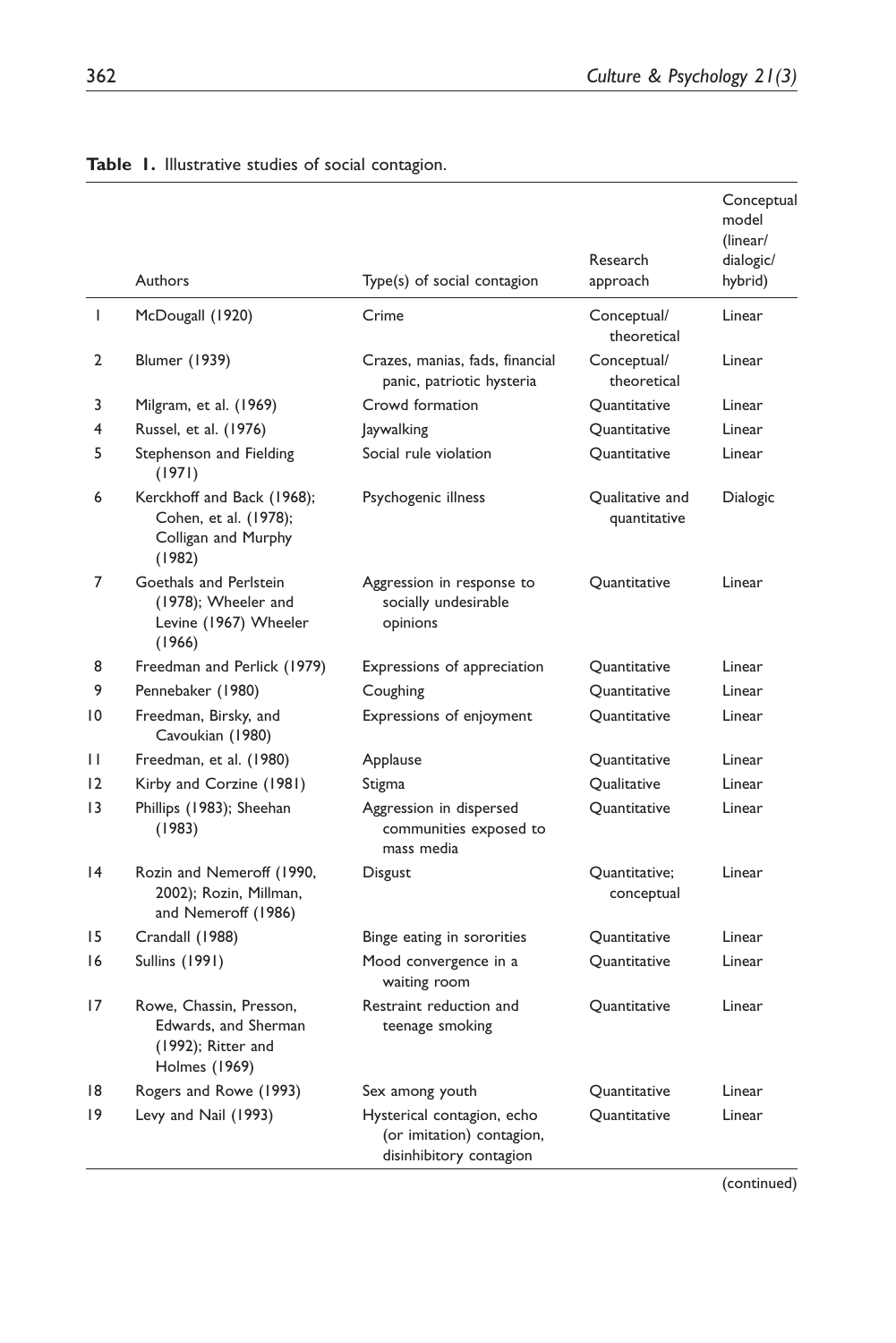|                 |                                                                                        |                                                                                    | Research                        | Conceptual<br>model<br>(linear/<br>dialogic/ |
|-----------------|----------------------------------------------------------------------------------------|------------------------------------------------------------------------------------|---------------------------------|----------------------------------------------|
|                 | Authors                                                                                | Type(s) of social contagion                                                        | approach                        | hybrid)                                      |
| T               | McDougall (1920)                                                                       | Crime                                                                              | Conceptual/<br>theoretical      | Linear                                       |
| $\overline{2}$  | Blumer (1939)                                                                          | Crazes, manias, fads, financial<br>panic, patriotic hysteria                       | Conceptual/<br>theoretical      | Linear                                       |
| 3               | Milgram, et al. (1969)                                                                 | Crowd formation                                                                    | Ouantitative                    | Linear                                       |
| 4               | Russel, et al. (1976)                                                                  | <b>Jaywalking</b>                                                                  | Quantitative                    | Linear                                       |
| 5               | Stephenson and Fielding<br>(1971)                                                      | Social rule violation                                                              | Quantitative                    | Linear                                       |
| 6               | Kerckhoff and Back (1968);<br>Cohen, et al. (1978);<br>Colligan and Murphy<br>(1982)   | Psychogenic illness                                                                | Qualitative and<br>quantitative | Dialogic                                     |
| 7               | Goethals and Perlstein<br>(1978); Wheeler and<br>Levine (1967) Wheeler<br>(1966)       | Aggression in response to<br>socially undesirable<br>opinions                      | Quantitative                    | Linear                                       |
| 8               | Freedman and Perlick (1979)                                                            | Expressions of appreciation                                                        | Quantitative                    | Linear                                       |
| 9               | Pennebaker (1980)                                                                      | Coughing                                                                           | Quantitative                    | Linear                                       |
| $\overline{10}$ | Freedman, Birsky, and<br>Cavoukian (1980)                                              | Expressions of enjoyment                                                           | Quantitative                    | Linear                                       |
| Ш               | Freedman, et al. (1980)                                                                | Applause                                                                           | Quantitative                    | Linear                                       |
| 12              | Kirby and Corzine (1981)                                                               | Stigma                                                                             | Qualitative                     | Linear                                       |
| 13              | Phillips (1983); Sheehan<br>(1983)                                                     | Aggression in dispersed<br>communities exposed to<br>mass media                    | Quantitative                    | Linear                                       |
| 4               | Rozin and Nemeroff (1990,<br>2002); Rozin, Millman,<br>and Nemeroff (1986)             | Disgust                                                                            | Quantitative;<br>conceptual     | Linear                                       |
| 15              | Crandall (1988)                                                                        | Binge eating in sororities                                                         | Quantitative                    | Linear                                       |
| 16              | Sullins (1991)                                                                         | Mood convergence in a<br>waiting room                                              | Quantitative                    | Linear                                       |
| 17              | Rowe, Chassin, Presson,<br>Edwards, and Sherman<br>(1992); Ritter and<br>Holmes (1969) | Restraint reduction and<br>teenage smoking                                         | <b>Ouantitative</b>             | Linear                                       |
| 18              | Rogers and Rowe (1993)                                                                 | Sex among youth                                                                    | Quantitative                    | Linear                                       |
| 19              | Levy and Nail (1993)                                                                   | Hysterical contagion, echo<br>(or imitation) contagion,<br>disinhibitory contagion | Quantitative                    | Linear                                       |

Table 1. Illustrative studies of social contagion.

(continued)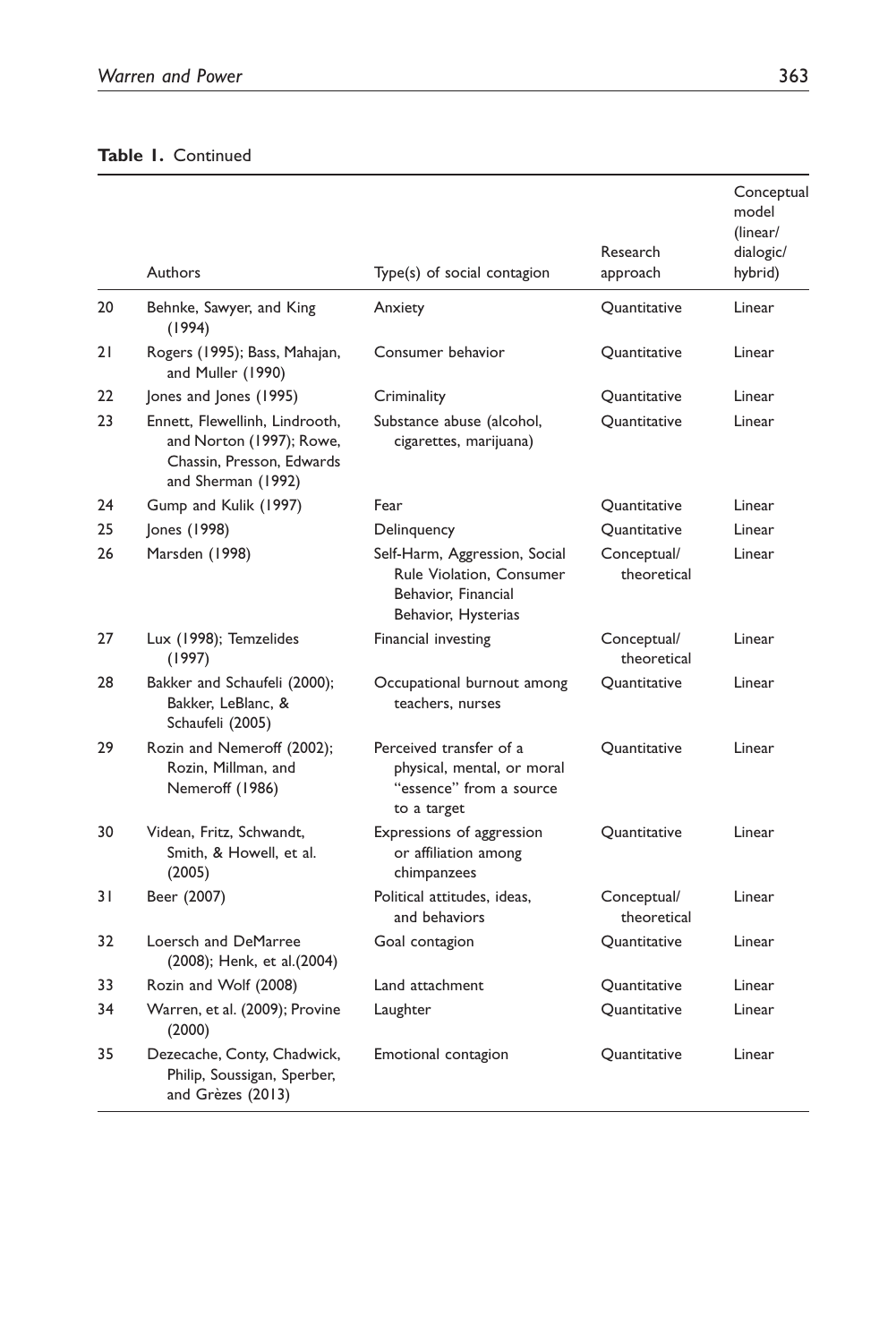### Table 1. Continued

|    | Authors                                                                                                       | Type(s) of social contagion                                                                             | Research<br>approach       | Conceptual<br>model<br>(linear/<br>dialogic/<br>hybrid) |
|----|---------------------------------------------------------------------------------------------------------------|---------------------------------------------------------------------------------------------------------|----------------------------|---------------------------------------------------------|
|    |                                                                                                               |                                                                                                         |                            |                                                         |
| 20 | Behnke, Sawyer, and King<br>(1994)                                                                            | Anxiety                                                                                                 | Quantitative               | Linear                                                  |
| 21 | Rogers (1995); Bass, Mahajan,<br>and Muller (1990)                                                            | Consumer behavior                                                                                       | Quantitative               | Linear                                                  |
| 22 | Jones and Jones (1995)                                                                                        | Criminality                                                                                             | Quantitative               | Linear                                                  |
| 23 | Ennett, Flewellinh, Lindrooth,<br>and Norton (1997); Rowe,<br>Chassin, Presson, Edwards<br>and Sherman (1992) | Substance abuse (alcohol,<br>cigarettes, marijuana)                                                     | <b>Ouantitative</b>        | Linear                                                  |
| 24 | Gump and Kulik (1997)                                                                                         | Fear                                                                                                    | Quantitative               | Linear                                                  |
| 25 | Jones (1998)                                                                                                  | Delinquency                                                                                             | Quantitative               | Linear                                                  |
| 26 | Marsden (1998)                                                                                                | Self-Harm, Aggression, Social<br>Rule Violation, Consumer<br>Behavior, Financial<br>Behavior, Hysterias | Conceptual/<br>theoretical | Linear                                                  |
| 27 | Lux (1998); Temzelides<br>(1997)                                                                              | Financial investing                                                                                     | Conceptual/<br>theoretical | Linear                                                  |
| 28 | Bakker and Schaufeli (2000);<br>Bakker, LeBlanc, &<br>Schaufeli (2005)                                        | Occupational burnout among<br>teachers, nurses                                                          | Quantitative               | <b>Linear</b>                                           |
| 29 | Rozin and Nemeroff (2002);<br>Rozin, Millman, and<br>Nemeroff (1986)                                          | Perceived transfer of a<br>physical, mental, or moral<br>"essence" from a source<br>to a target         | Quantitative               | Linear                                                  |
| 30 | Videan, Fritz, Schwandt,<br>Smith, & Howell, et al.<br>(2005)                                                 | Expressions of aggression<br>or affiliation among<br>chimpanzees                                        | Ouantitative               | Linear                                                  |
| 31 | Beer (2007)                                                                                                   | Political attitudes, ideas,<br>and behaviors                                                            | Conceptual/<br>theoretical | Linear                                                  |
| 32 | Loersch and DeMarree<br>(2008); Henk, et al. (2004)                                                           | Goal contagion                                                                                          | Quantitative               | l inear                                                 |
| 33 | Rozin and Wolf (2008)                                                                                         | Land attachment                                                                                         | Quantitative               | Linear                                                  |
| 34 | Warren, et al. (2009); Provine<br>(2000)                                                                      | Laughter                                                                                                | Quantitative               | Linear                                                  |
| 35 | Dezecache, Conty, Chadwick,<br>Philip, Soussigan, Sperber,<br>and Grèzes (2013)                               | Emotional contagion                                                                                     | Quantitative               | Linear                                                  |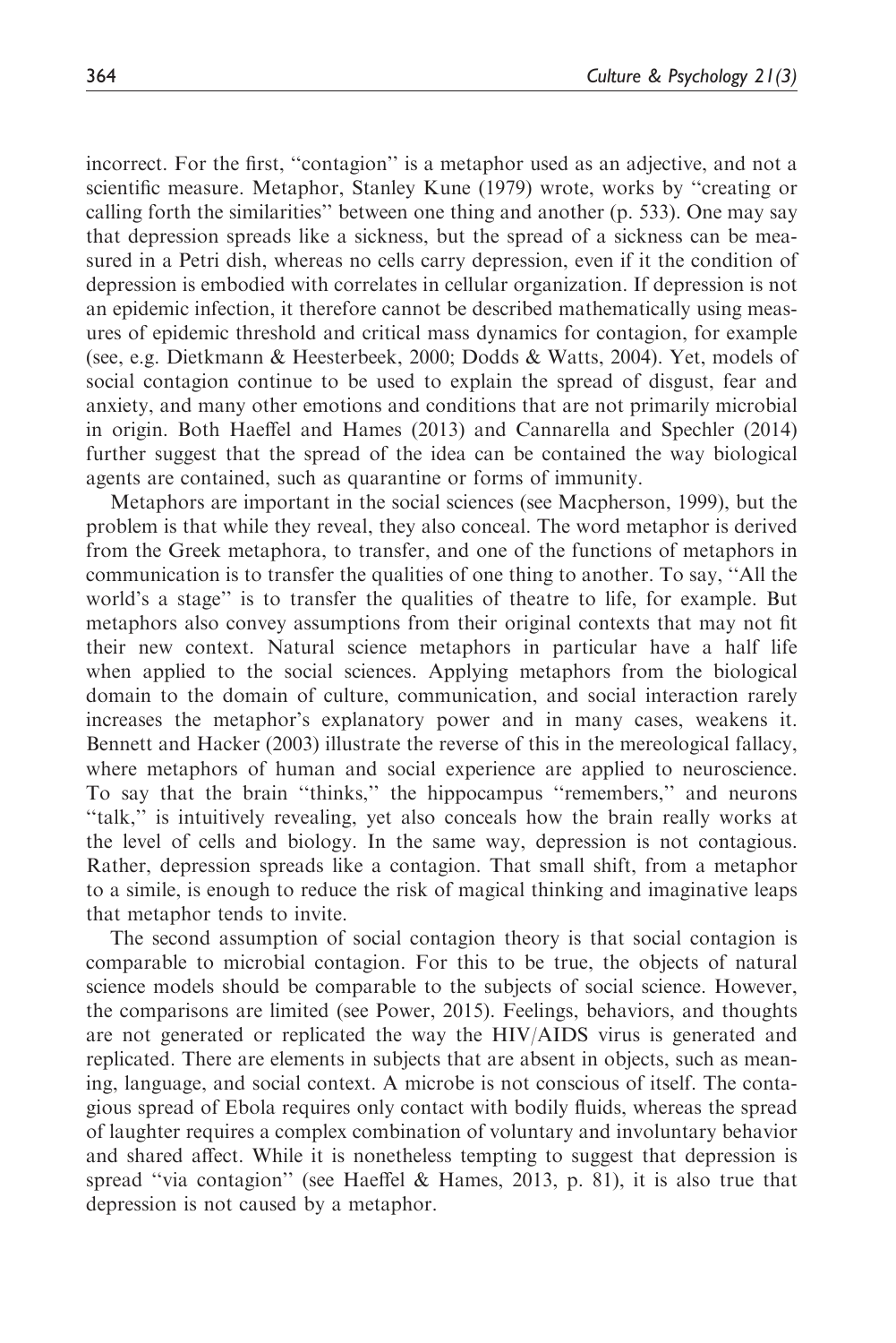incorrect. For the first, ''contagion'' is a metaphor used as an adjective, and not a scientific measure. Metaphor, Stanley Kune (1979) wrote, works by ''creating or calling forth the similarities'' between one thing and another (p. 533). One may say that depression spreads like a sickness, but the spread of a sickness can be measured in a Petri dish, whereas no cells carry depression, even if it the condition of depression is embodied with correlates in cellular organization. If depression is not an epidemic infection, it therefore cannot be described mathematically using measures of epidemic threshold and critical mass dynamics for contagion, for example (see, e.g. Dietkmann & Heesterbeek, 2000; Dodds & Watts, 2004). Yet, models of social contagion continue to be used to explain the spread of disgust, fear and anxiety, and many other emotions and conditions that are not primarily microbial in origin. Both Haeffel and Hames (2013) and Cannarella and Spechler (2014) further suggest that the spread of the idea can be contained the way biological agents are contained, such as quarantine or forms of immunity.

Metaphors are important in the social sciences (see Macpherson, 1999), but the problem is that while they reveal, they also conceal. The word metaphor is derived from the Greek metaphora, to transfer, and one of the functions of metaphors in communication is to transfer the qualities of one thing to another. To say, ''All the world's a stage'' is to transfer the qualities of theatre to life, for example. But metaphors also convey assumptions from their original contexts that may not fit their new context. Natural science metaphors in particular have a half life when applied to the social sciences. Applying metaphors from the biological domain to the domain of culture, communication, and social interaction rarely increases the metaphor's explanatory power and in many cases, weakens it. Bennett and Hacker (2003) illustrate the reverse of this in the mereological fallacy, where metaphors of human and social experience are applied to neuroscience. To say that the brain ''thinks,'' the hippocampus ''remembers,'' and neurons ''talk,'' is intuitively revealing, yet also conceals how the brain really works at the level of cells and biology. In the same way, depression is not contagious. Rather, depression spreads like a contagion. That small shift, from a metaphor to a simile, is enough to reduce the risk of magical thinking and imaginative leaps that metaphor tends to invite.

The second assumption of social contagion theory is that social contagion is comparable to microbial contagion. For this to be true, the objects of natural science models should be comparable to the subjects of social science. However, the comparisons are limited (see Power, 2015). Feelings, behaviors, and thoughts are not generated or replicated the way the HIV/AIDS virus is generated and replicated. There are elements in subjects that are absent in objects, such as meaning, language, and social context. A microbe is not conscious of itself. The contagious spread of Ebola requires only contact with bodily fluids, whereas the spread of laughter requires a complex combination of voluntary and involuntary behavior and shared affect. While it is nonetheless tempting to suggest that depression is spread ''via contagion'' (see Haeffel & Hames, 2013, p. 81), it is also true that depression is not caused by a metaphor.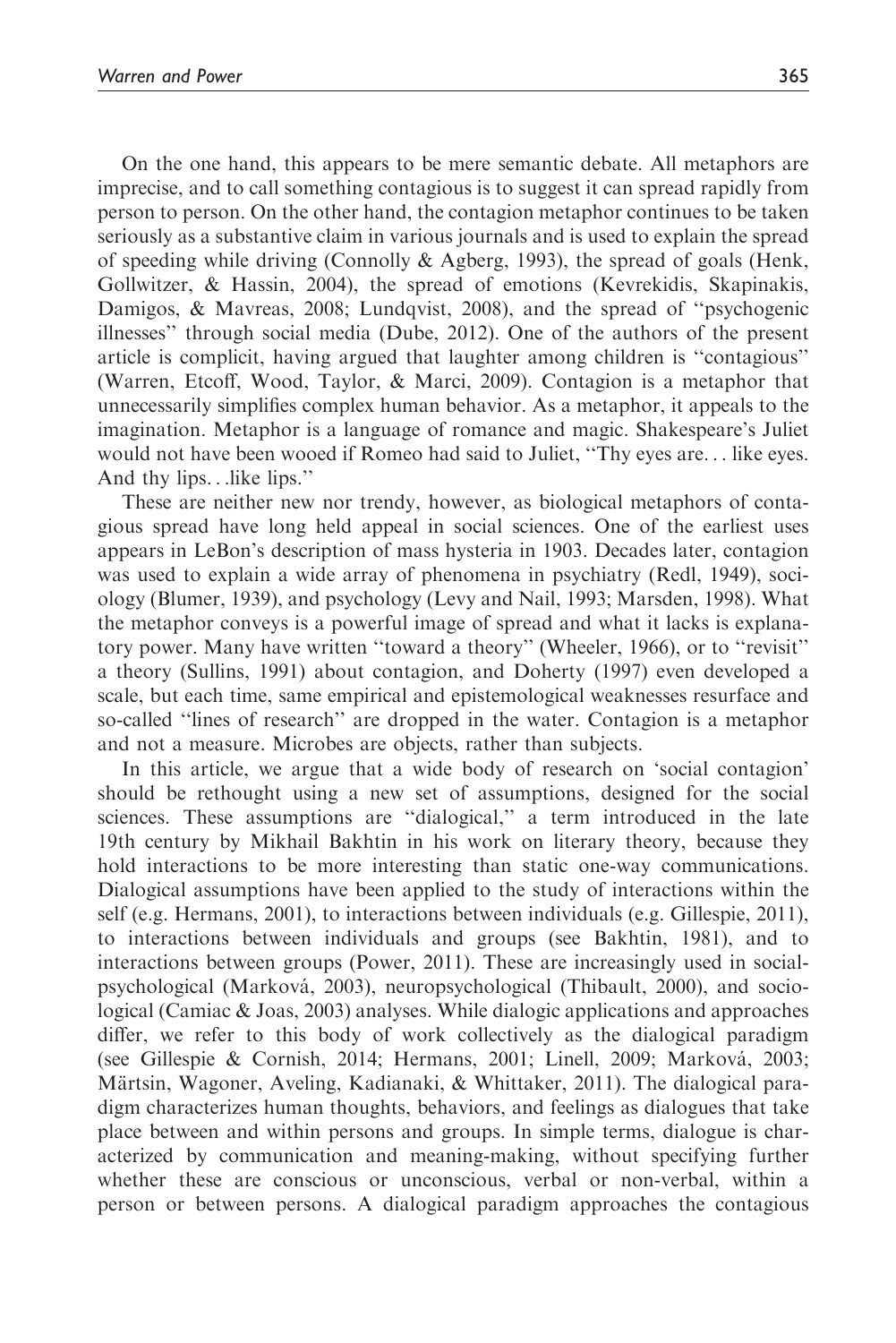On the one hand, this appears to be mere semantic debate. All metaphors are imprecise, and to call something contagious is to suggest it can spread rapidly from person to person. On the other hand, the contagion metaphor continues to be taken seriously as a substantive claim in various journals and is used to explain the spread of speeding while driving (Connolly & Agberg, 1993), the spread of goals (Henk, Gollwitzer, & Hassin, 2004), the spread of emotions (Kevrekidis, Skapinakis, Damigos, & Mavreas, 2008; Lundqvist, 2008), and the spread of "psychogenic illnesses'' through social media (Dube, 2012). One of the authors of the present article is complicit, having argued that laughter among children is ''contagious'' (Warren, Etcoff, Wood, Taylor, & Marci, 2009). Contagion is a metaphor that unnecessarily simplifies complex human behavior. As a metaphor, it appeals to the imagination. Metaphor is a language of romance and magic. Shakespeare's Juliet would not have been wooed if Romeo had said to Juliet, ''Thy eyes are... like eyes. And thy lips...like lips.''

These are neither new nor trendy, however, as biological metaphors of contagious spread have long held appeal in social sciences. One of the earliest uses appears in LeBon's description of mass hysteria in 1903. Decades later, contagion was used to explain a wide array of phenomena in psychiatry (Redl, 1949), sociology (Blumer, 1939), and psychology (Levy and Nail, 1993; Marsden, 1998). What the metaphor conveys is a powerful image of spread and what it lacks is explanatory power. Many have written ''toward a theory'' (Wheeler, 1966), or to ''revisit'' a theory (Sullins, 1991) about contagion, and Doherty (1997) even developed a scale, but each time, same empirical and epistemological weaknesses resurface and so-called ''lines of research'' are dropped in the water. Contagion is a metaphor and not a measure. Microbes are objects, rather than subjects.

In this article, we argue that a wide body of research on 'social contagion' should be rethought using a new set of assumptions, designed for the social sciences. These assumptions are ''dialogical,'' a term introduced in the late 19th century by Mikhail Bakhtin in his work on literary theory, because they hold interactions to be more interesting than static one-way communications. Dialogical assumptions have been applied to the study of interactions within the self (e.g. Hermans, 2001), to interactions between individuals (e.g. Gillespie, 2011), to interactions between individuals and groups (see Bakhtin, 1981), and to interactions between groups (Power, 2011). These are increasingly used in socialpsychological (Markova´, 2003), neuropsychological (Thibault, 2000), and sociological (Camiac & Joas, 2003) analyses. While dialogic applications and approaches differ, we refer to this body of work collectively as the dialogical paradigm (see Gillespie & Cornish, 2014; Hermans, 2001; Linell, 2009; Markova´, 2003; Märtsin, Wagoner, Aveling, Kadianaki, & Whittaker, 2011). The dialogical paradigm characterizes human thoughts, behaviors, and feelings as dialogues that take place between and within persons and groups. In simple terms, dialogue is characterized by communication and meaning-making, without specifying further whether these are conscious or unconscious, verbal or non-verbal, within a person or between persons. A dialogical paradigm approaches the contagious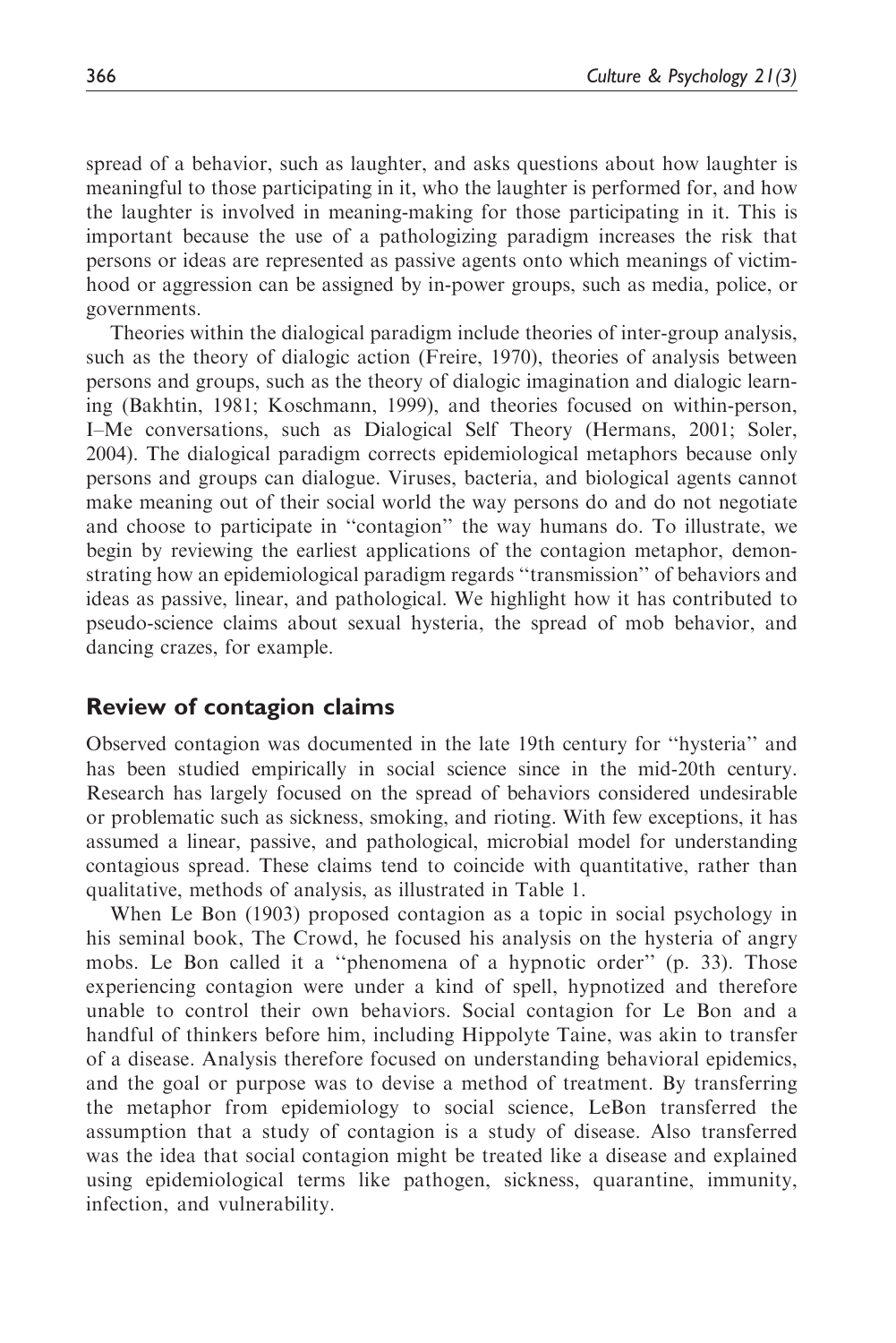spread of a behavior, such as laughter, and asks questions about how laughter is meaningful to those participating in it, who the laughter is performed for, and how the laughter is involved in meaning-making for those participating in it. This is important because the use of a pathologizing paradigm increases the risk that persons or ideas are represented as passive agents onto which meanings of victimhood or aggression can be assigned by in-power groups, such as media, police, or governments.

Theories within the dialogical paradigm include theories of inter-group analysis, such as the theory of dialogic action (Freire, 1970), theories of analysis between persons and groups, such as the theory of dialogic imagination and dialogic learning (Bakhtin, 1981; Koschmann, 1999), and theories focused on within-person, I–Me conversations, such as Dialogical Self Theory (Hermans, 2001; Soler, 2004). The dialogical paradigm corrects epidemiological metaphors because only persons and groups can dialogue. Viruses, bacteria, and biological agents cannot make meaning out of their social world the way persons do and do not negotiate and choose to participate in ''contagion'' the way humans do. To illustrate, we begin by reviewing the earliest applications of the contagion metaphor, demonstrating how an epidemiological paradigm regards ''transmission'' of behaviors and ideas as passive, linear, and pathological. We highlight how it has contributed to pseudo-science claims about sexual hysteria, the spread of mob behavior, and dancing crazes, for example.

### Review of contagion claims

Observed contagion was documented in the late 19th century for ''hysteria'' and has been studied empirically in social science since in the mid-20th century. Research has largely focused on the spread of behaviors considered undesirable or problematic such as sickness, smoking, and rioting. With few exceptions, it has assumed a linear, passive, and pathological, microbial model for understanding contagious spread. These claims tend to coincide with quantitative, rather than qualitative, methods of analysis, as illustrated in Table 1.

When Le Bon (1903) proposed contagion as a topic in social psychology in his seminal book, The Crowd, he focused his analysis on the hysteria of angry mobs. Le Bon called it a ''phenomena of a hypnotic order'' (p. 33). Those experiencing contagion were under a kind of spell, hypnotized and therefore unable to control their own behaviors. Social contagion for Le Bon and a handful of thinkers before him, including Hippolyte Taine, was akin to transfer of a disease. Analysis therefore focused on understanding behavioral epidemics, and the goal or purpose was to devise a method of treatment. By transferring the metaphor from epidemiology to social science, LeBon transferred the assumption that a study of contagion is a study of disease. Also transferred was the idea that social contagion might be treated like a disease and explained using epidemiological terms like pathogen, sickness, quarantine, immunity, infection, and vulnerability.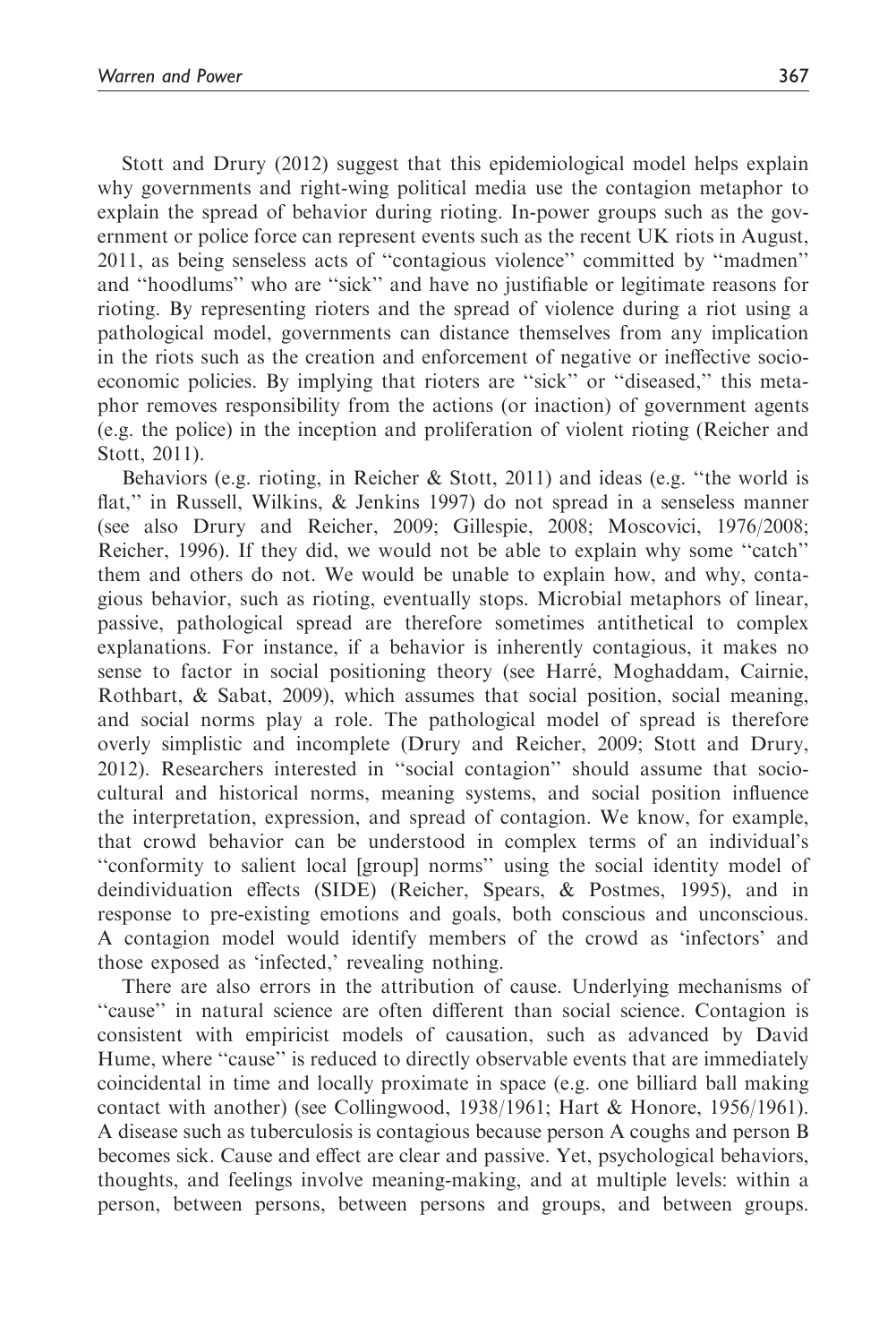Stott and Drury (2012) suggest that this epidemiological model helps explain why governments and right-wing political media use the contagion metaphor to explain the spread of behavior during rioting. In-power groups such as the government or police force can represent events such as the recent UK riots in August, 2011, as being senseless acts of ''contagious violence'' committed by ''madmen'' and ''hoodlums'' who are ''sick'' and have no justifiable or legitimate reasons for rioting. By representing rioters and the spread of violence during a riot using a pathological model, governments can distance themselves from any implication in the riots such as the creation and enforcement of negative or ineffective socioeconomic policies. By implying that rioters are ''sick'' or ''diseased,'' this metaphor removes responsibility from the actions (or inaction) of government agents (e.g. the police) in the inception and proliferation of violent rioting (Reicher and Stott, 2011).

Behaviors (e.g. rioting, in Reicher & Stott, 2011) and ideas (e.g. ''the world is flat,'' in Russell, Wilkins, & Jenkins 1997) do not spread in a senseless manner (see also Drury and Reicher, 2009; Gillespie, 2008; Moscovici, 1976/2008; Reicher, 1996). If they did, we would not be able to explain why some ''catch'' them and others do not. We would be unable to explain how, and why, contagious behavior, such as rioting, eventually stops. Microbial metaphors of linear, passive, pathological spread are therefore sometimes antithetical to complex explanations. For instance, if a behavior is inherently contagious, it makes no sense to factor in social positioning theory (see Harré, Moghaddam, Cairnie, Rothbart, & Sabat, 2009), which assumes that social position, social meaning, and social norms play a role. The pathological model of spread is therefore overly simplistic and incomplete (Drury and Reicher, 2009; Stott and Drury, 2012). Researchers interested in ''social contagion'' should assume that sociocultural and historical norms, meaning systems, and social position influence the interpretation, expression, and spread of contagion. We know, for example, that crowd behavior can be understood in complex terms of an individual's ''conformity to salient local [group] norms'' using the social identity model of deindividuation effects (SIDE) (Reicher, Spears, & Postmes, 1995), and in response to pre-existing emotions and goals, both conscious and unconscious. A contagion model would identify members of the crowd as 'infectors' and those exposed as 'infected,' revealing nothing.

There are also errors in the attribution of cause. Underlying mechanisms of ''cause'' in natural science are often different than social science. Contagion is consistent with empiricist models of causation, such as advanced by David Hume, where "cause" is reduced to directly observable events that are immediately coincidental in time and locally proximate in space (e.g. one billiard ball making contact with another) (see Collingwood, 1938/1961; Hart & Honore, 1956/1961). A disease such as tuberculosis is contagious because person A coughs and person B becomes sick. Cause and effect are clear and passive. Yet, psychological behaviors, thoughts, and feelings involve meaning-making, and at multiple levels: within a person, between persons, between persons and groups, and between groups.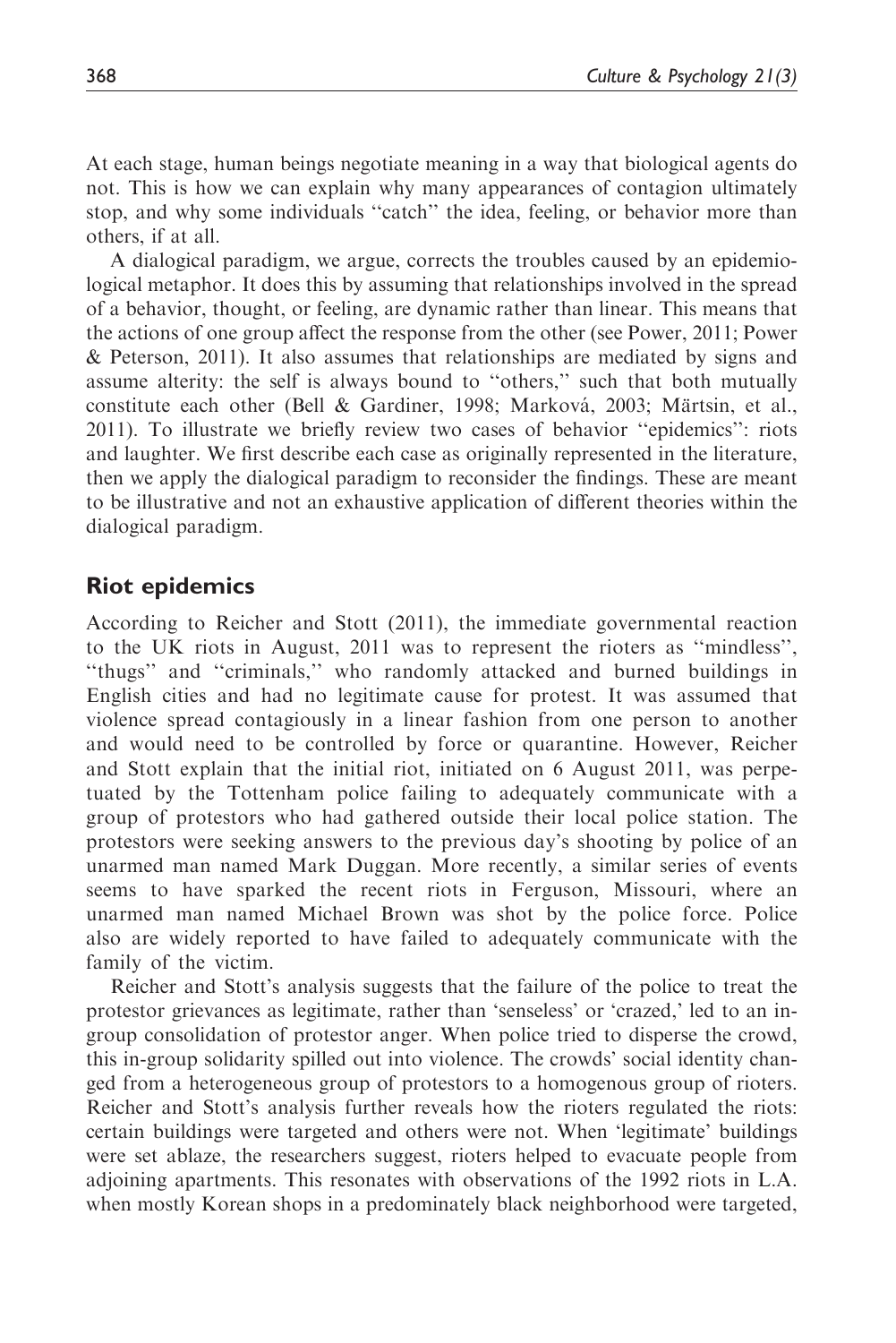At each stage, human beings negotiate meaning in a way that biological agents do not. This is how we can explain why many appearances of contagion ultimately stop, and why some individuals ''catch'' the idea, feeling, or behavior more than others, if at all.

A dialogical paradigm, we argue, corrects the troubles caused by an epidemiological metaphor. It does this by assuming that relationships involved in the spread of a behavior, thought, or feeling, are dynamic rather than linear. This means that the actions of one group affect the response from the other (see Power, 2011; Power & Peterson, 2011). It also assumes that relationships are mediated by signs and assume alterity: the self is always bound to ''others,'' such that both mutually constitute each other (Bell & Gardiner, 1998; Marková, 2003; Märtsin, et al., 2011). To illustrate we briefly review two cases of behavior ''epidemics'': riots and laughter. We first describe each case as originally represented in the literature, then we apply the dialogical paradigm to reconsider the findings. These are meant to be illustrative and not an exhaustive application of different theories within the dialogical paradigm.

### Riot epidemics

According to Reicher and Stott (2011), the immediate governmental reaction to the UK riots in August, 2011 was to represent the rioters as ''mindless'', ''thugs'' and ''criminals,'' who randomly attacked and burned buildings in English cities and had no legitimate cause for protest. It was assumed that violence spread contagiously in a linear fashion from one person to another and would need to be controlled by force or quarantine. However, Reicher and Stott explain that the initial riot, initiated on 6 August 2011, was perpetuated by the Tottenham police failing to adequately communicate with a group of protestors who had gathered outside their local police station. The protestors were seeking answers to the previous day's shooting by police of an unarmed man named Mark Duggan. More recently, a similar series of events seems to have sparked the recent riots in Ferguson, Missouri, where an unarmed man named Michael Brown was shot by the police force. Police also are widely reported to have failed to adequately communicate with the family of the victim.

Reicher and Stott's analysis suggests that the failure of the police to treat the protestor grievances as legitimate, rather than 'senseless' or 'crazed,' led to an ingroup consolidation of protestor anger. When police tried to disperse the crowd, this in-group solidarity spilled out into violence. The crowds' social identity changed from a heterogeneous group of protestors to a homogenous group of rioters. Reicher and Stott's analysis further reveals how the rioters regulated the riots: certain buildings were targeted and others were not. When 'legitimate' buildings were set ablaze, the researchers suggest, rioters helped to evacuate people from adjoining apartments. This resonates with observations of the 1992 riots in L.A. when mostly Korean shops in a predominately black neighborhood were targeted,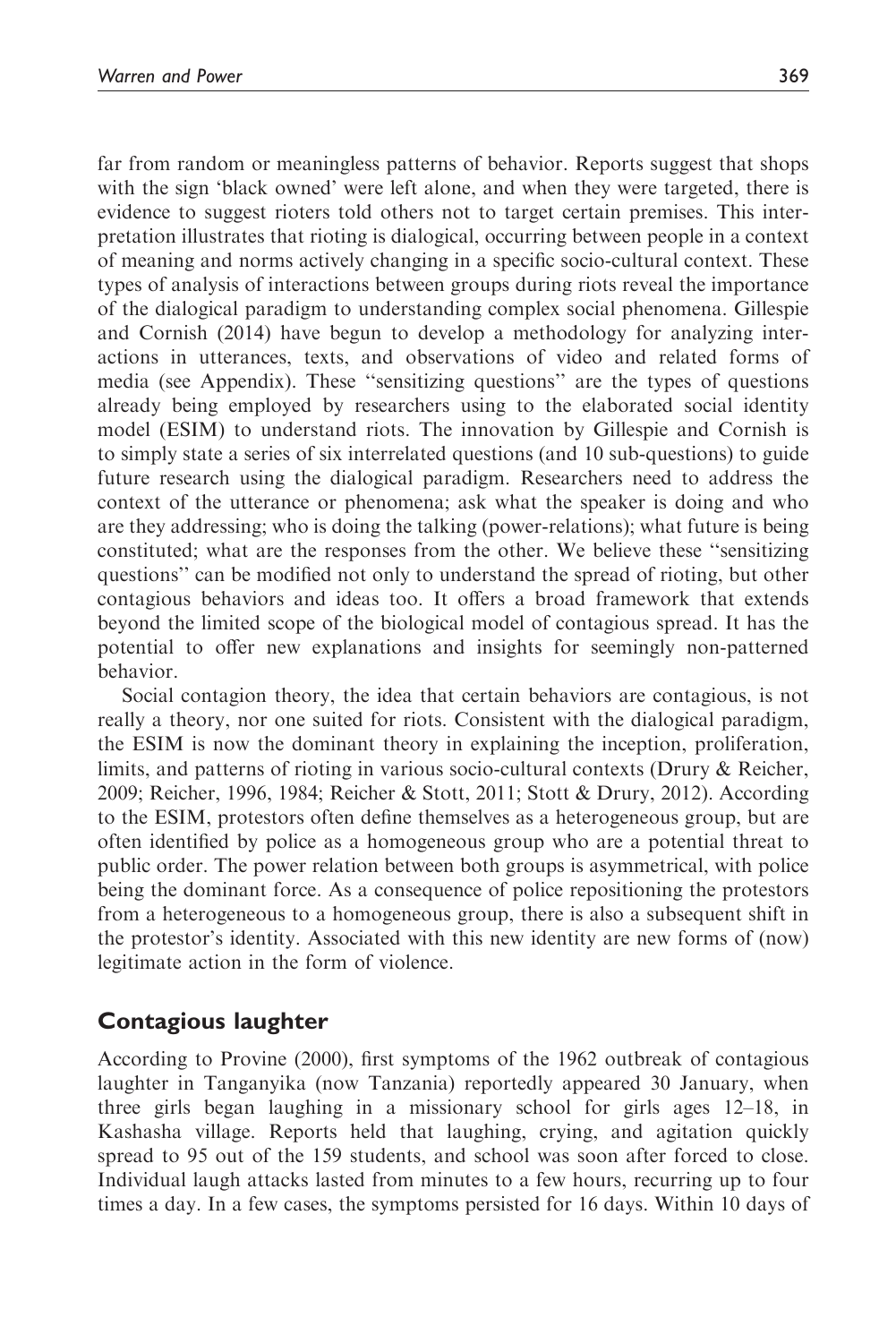far from random or meaningless patterns of behavior. Reports suggest that shops with the sign 'black owned' were left alone, and when they were targeted, there is evidence to suggest rioters told others not to target certain premises. This interpretation illustrates that rioting is dialogical, occurring between people in a context of meaning and norms actively changing in a specific socio-cultural context. These types of analysis of interactions between groups during riots reveal the importance of the dialogical paradigm to understanding complex social phenomena. Gillespie and Cornish (2014) have begun to develop a methodology for analyzing interactions in utterances, texts, and observations of video and related forms of media (see Appendix). These ''sensitizing questions'' are the types of questions already being employed by researchers using to the elaborated social identity model (ESIM) to understand riots. The innovation by Gillespie and Cornish is to simply state a series of six interrelated questions (and 10 sub-questions) to guide

context of the utterance or phenomena; ask what the speaker is doing and who are they addressing; who is doing the talking (power-relations); what future is being constituted; what are the responses from the other. We believe these ''sensitizing questions'' can be modified not only to understand the spread of rioting, but other contagious behaviors and ideas too. It offers a broad framework that extends beyond the limited scope of the biological model of contagious spread. It has the potential to offer new explanations and insights for seemingly non-patterned behavior.

future research using the dialogical paradigm. Researchers need to address the

Social contagion theory, the idea that certain behaviors are contagious, is not really a theory, nor one suited for riots. Consistent with the dialogical paradigm, the ESIM is now the dominant theory in explaining the inception, proliferation, limits, and patterns of rioting in various socio-cultural contexts (Drury & Reicher, 2009; Reicher, 1996, 1984; Reicher & Stott, 2011; Stott & Drury, 2012). According to the ESIM, protestors often define themselves as a heterogeneous group, but are often identified by police as a homogeneous group who are a potential threat to public order. The power relation between both groups is asymmetrical, with police being the dominant force. As a consequence of police repositioning the protestors from a heterogeneous to a homogeneous group, there is also a subsequent shift in the protestor's identity. Associated with this new identity are new forms of (now) legitimate action in the form of violence.

# Contagious laughter

According to Provine (2000), first symptoms of the 1962 outbreak of contagious laughter in Tanganyika (now Tanzania) reportedly appeared 30 January, when three girls began laughing in a missionary school for girls ages 12–18, in Kashasha village. Reports held that laughing, crying, and agitation quickly spread to 95 out of the 159 students, and school was soon after forced to close. Individual laugh attacks lasted from minutes to a few hours, recurring up to four times a day. In a few cases, the symptoms persisted for 16 days. Within 10 days of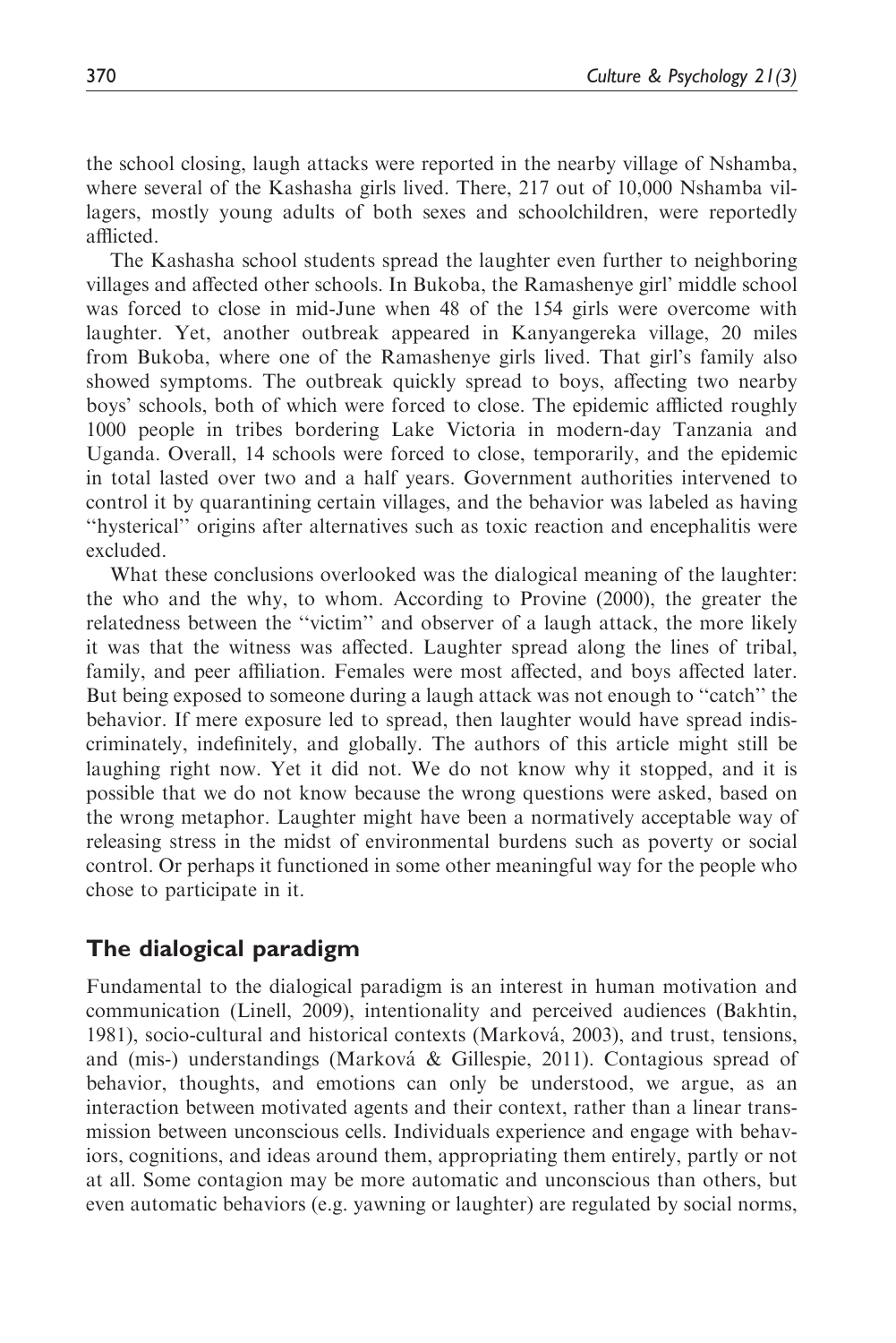the school closing, laugh attacks were reported in the nearby village of Nshamba, where several of the Kashasha girls lived. There, 217 out of 10,000 Nshamba villagers, mostly young adults of both sexes and schoolchildren, were reportedly afflicted.

The Kashasha school students spread the laughter even further to neighboring villages and affected other schools. In Bukoba, the Ramashenye girl' middle school was forced to close in mid-June when 48 of the 154 girls were overcome with laughter. Yet, another outbreak appeared in Kanyangereka village, 20 miles from Bukoba, where one of the Ramashenye girls lived. That girl's family also showed symptoms. The outbreak quickly spread to boys, affecting two nearby boys' schools, both of which were forced to close. The epidemic afflicted roughly 1000 people in tribes bordering Lake Victoria in modern-day Tanzania and Uganda. Overall, 14 schools were forced to close, temporarily, and the epidemic in total lasted over two and a half years. Government authorities intervened to control it by quarantining certain villages, and the behavior was labeled as having ''hysterical'' origins after alternatives such as toxic reaction and encephalitis were excluded.

What these conclusions overlooked was the dialogical meaning of the laughter: the who and the why, to whom. According to Provine (2000), the greater the relatedness between the ''victim'' and observer of a laugh attack, the more likely it was that the witness was affected. Laughter spread along the lines of tribal, family, and peer affiliation. Females were most affected, and boys affected later. But being exposed to someone during a laugh attack was not enough to ''catch'' the behavior. If mere exposure led to spread, then laughter would have spread indiscriminately, indefinitely, and globally. The authors of this article might still be laughing right now. Yet it did not. We do not know why it stopped, and it is possible that we do not know because the wrong questions were asked, based on the wrong metaphor. Laughter might have been a normatively acceptable way of releasing stress in the midst of environmental burdens such as poverty or social control. Or perhaps it functioned in some other meaningful way for the people who chose to participate in it.

# The dialogical paradigm

Fundamental to the dialogical paradigm is an interest in human motivation and communication (Linell, 2009), intentionality and perceived audiences (Bakhtin, 1981), socio-cultural and historical contexts (Markova´, 2003), and trust, tensions, and (mis-) understandings (Marková & Gillespie, 2011). Contagious spread of behavior, thoughts, and emotions can only be understood, we argue, as an interaction between motivated agents and their context, rather than a linear transmission between unconscious cells. Individuals experience and engage with behaviors, cognitions, and ideas around them, appropriating them entirely, partly or not at all. Some contagion may be more automatic and unconscious than others, but even automatic behaviors (e.g. yawning or laughter) are regulated by social norms,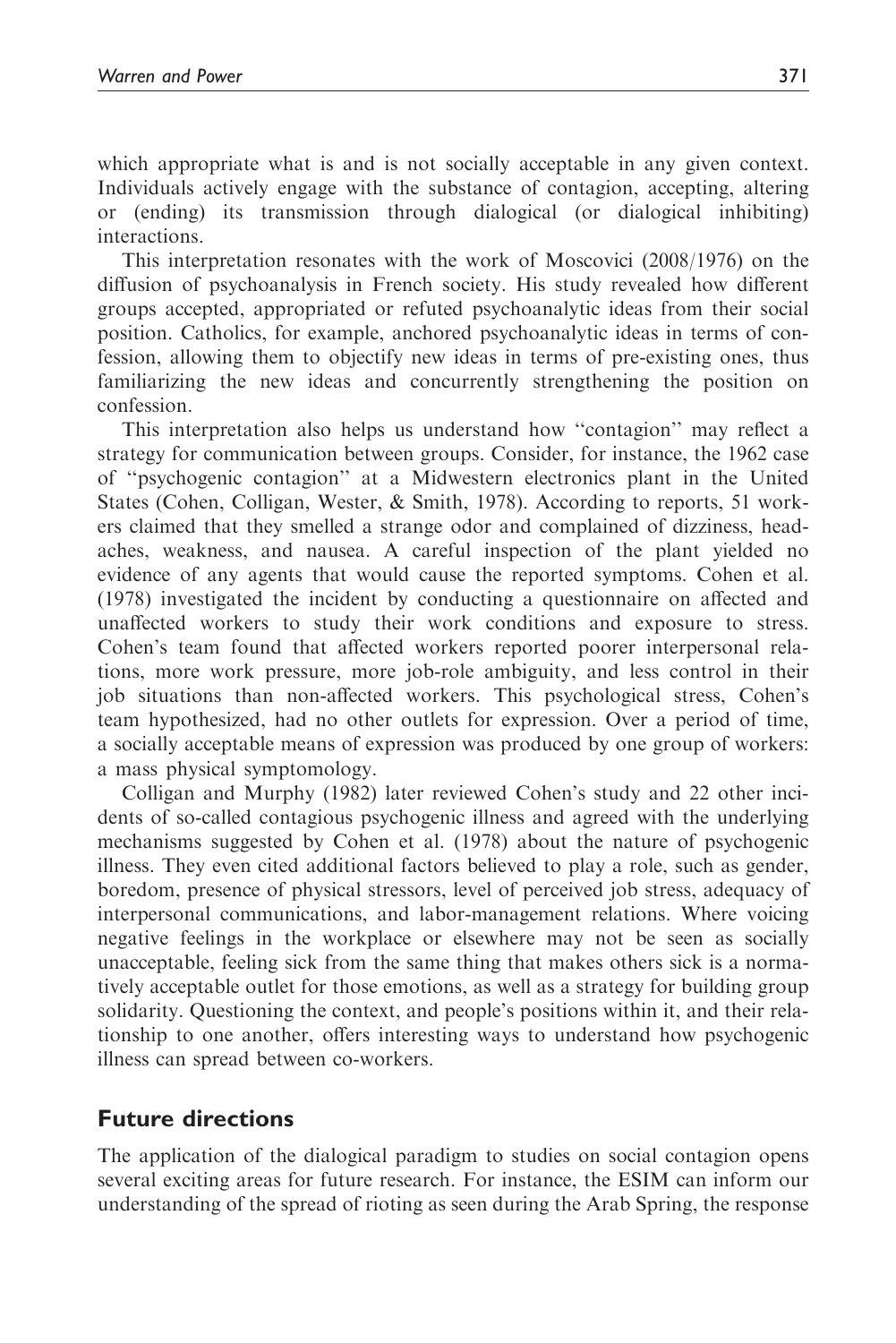which appropriate what is and is not socially acceptable in any given context. Individuals actively engage with the substance of contagion, accepting, altering or (ending) its transmission through dialogical (or dialogical inhibiting) interactions.

This interpretation resonates with the work of Moscovici (2008/1976) on the diffusion of psychoanalysis in French society. His study revealed how different groups accepted, appropriated or refuted psychoanalytic ideas from their social position. Catholics, for example, anchored psychoanalytic ideas in terms of confession, allowing them to objectify new ideas in terms of pre-existing ones, thus familiarizing the new ideas and concurrently strengthening the position on confession.

This interpretation also helps us understand how ''contagion'' may reflect a strategy for communication between groups. Consider, for instance, the 1962 case of ''psychogenic contagion'' at a Midwestern electronics plant in the United States (Cohen, Colligan, Wester, & Smith, 1978). According to reports, 51 workers claimed that they smelled a strange odor and complained of dizziness, headaches, weakness, and nausea. A careful inspection of the plant yielded no evidence of any agents that would cause the reported symptoms. Cohen et al. (1978) investigated the incident by conducting a questionnaire on affected and unaffected workers to study their work conditions and exposure to stress. Cohen's team found that affected workers reported poorer interpersonal relations, more work pressure, more job-role ambiguity, and less control in their job situations than non-affected workers. This psychological stress, Cohen's team hypothesized, had no other outlets for expression. Over a period of time, a socially acceptable means of expression was produced by one group of workers: a mass physical symptomology.

Colligan and Murphy (1982) later reviewed Cohen's study and 22 other incidents of so-called contagious psychogenic illness and agreed with the underlying mechanisms suggested by Cohen et al. (1978) about the nature of psychogenic illness. They even cited additional factors believed to play a role, such as gender, boredom, presence of physical stressors, level of perceived job stress, adequacy of interpersonal communications, and labor-management relations. Where voicing negative feelings in the workplace or elsewhere may not be seen as socially unacceptable, feeling sick from the same thing that makes others sick is a normatively acceptable outlet for those emotions, as well as a strategy for building group solidarity. Questioning the context, and people's positions within it, and their relationship to one another, offers interesting ways to understand how psychogenic illness can spread between co-workers.

# Future directions

The application of the dialogical paradigm to studies on social contagion opens several exciting areas for future research. For instance, the ESIM can inform our understanding of the spread of rioting as seen during the Arab Spring, the response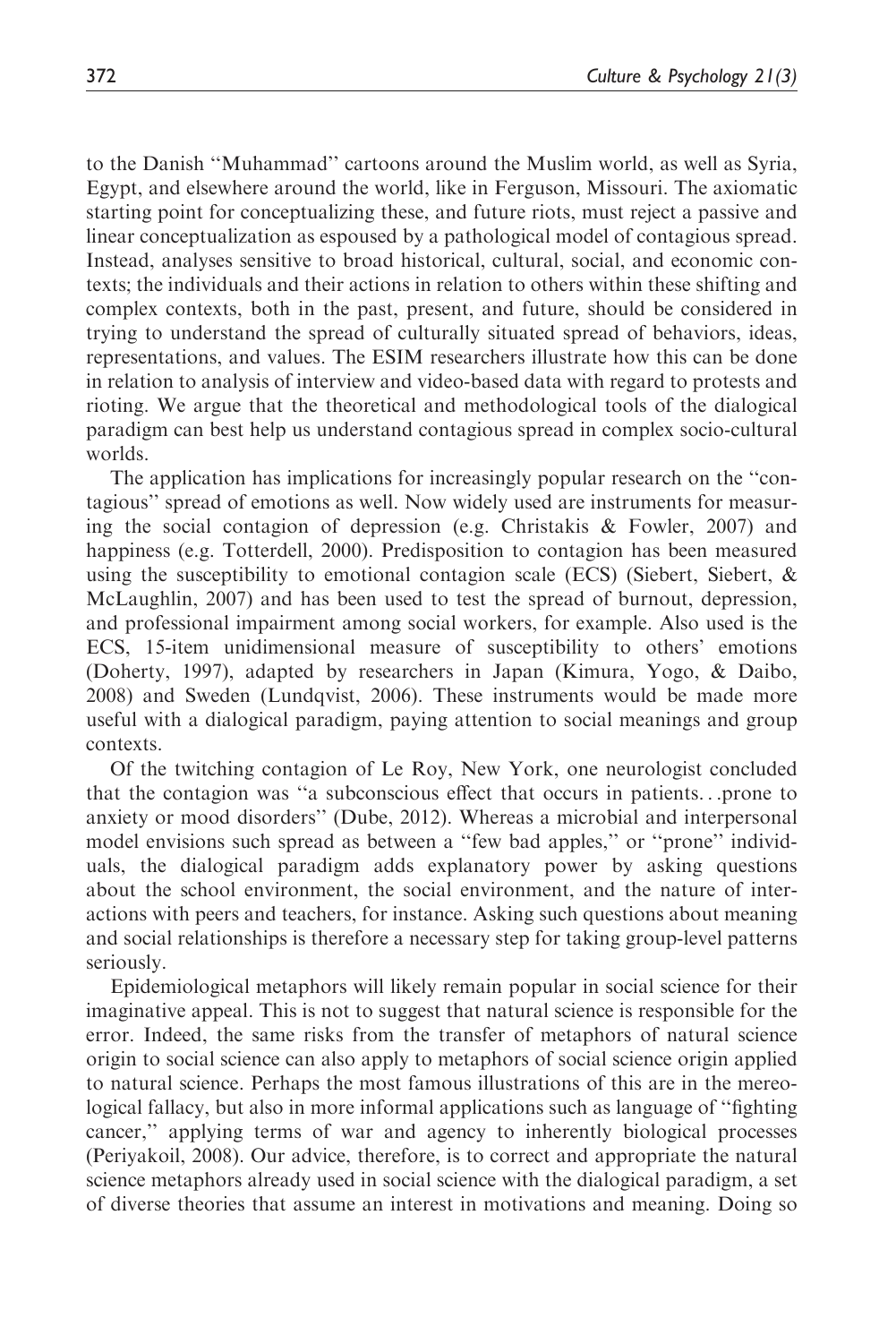to the Danish ''Muhammad'' cartoons around the Muslim world, as well as Syria, Egypt, and elsewhere around the world, like in Ferguson, Missouri. The axiomatic starting point for conceptualizing these, and future riots, must reject a passive and linear conceptualization as espoused by a pathological model of contagious spread. Instead, analyses sensitive to broad historical, cultural, social, and economic contexts; the individuals and their actions in relation to others within these shifting and complex contexts, both in the past, present, and future, should be considered in trying to understand the spread of culturally situated spread of behaviors, ideas, representations, and values. The ESIM researchers illustrate how this can be done in relation to analysis of interview and video-based data with regard to protests and rioting. We argue that the theoretical and methodological tools of the dialogical paradigm can best help us understand contagious spread in complex socio-cultural worlds.

The application has implications for increasingly popular research on the ''contagious'' spread of emotions as well. Now widely used are instruments for measuring the social contagion of depression (e.g. Christakis & Fowler, 2007) and happiness (e.g. Totterdell, 2000). Predisposition to contagion has been measured using the susceptibility to emotional contagion scale (ECS) (Siebert, Siebert,  $\&$ McLaughlin, 2007) and has been used to test the spread of burnout, depression, and professional impairment among social workers, for example. Also used is the ECS, 15-item unidimensional measure of susceptibility to others' emotions (Doherty, 1997), adapted by researchers in Japan (Kimura, Yogo, & Daibo, 2008) and Sweden (Lundqvist, 2006). These instruments would be made more useful with a dialogical paradigm, paying attention to social meanings and group contexts.

Of the twitching contagion of Le Roy, New York, one neurologist concluded that the contagion was ''a subconscious effect that occurs in patients...prone to anxiety or mood disorders'' (Dube, 2012). Whereas a microbial and interpersonal model envisions such spread as between a ''few bad apples,'' or ''prone'' individuals, the dialogical paradigm adds explanatory power by asking questions about the school environment, the social environment, and the nature of interactions with peers and teachers, for instance. Asking such questions about meaning and social relationships is therefore a necessary step for taking group-level patterns seriously.

Epidemiological metaphors will likely remain popular in social science for their imaginative appeal. This is not to suggest that natural science is responsible for the error. Indeed, the same risks from the transfer of metaphors of natural science origin to social science can also apply to metaphors of social science origin applied to natural science. Perhaps the most famous illustrations of this are in the mereological fallacy, but also in more informal applications such as language of ''fighting cancer,'' applying terms of war and agency to inherently biological processes (Periyakoil, 2008). Our advice, therefore, is to correct and appropriate the natural science metaphors already used in social science with the dialogical paradigm, a set of diverse theories that assume an interest in motivations and meaning. Doing so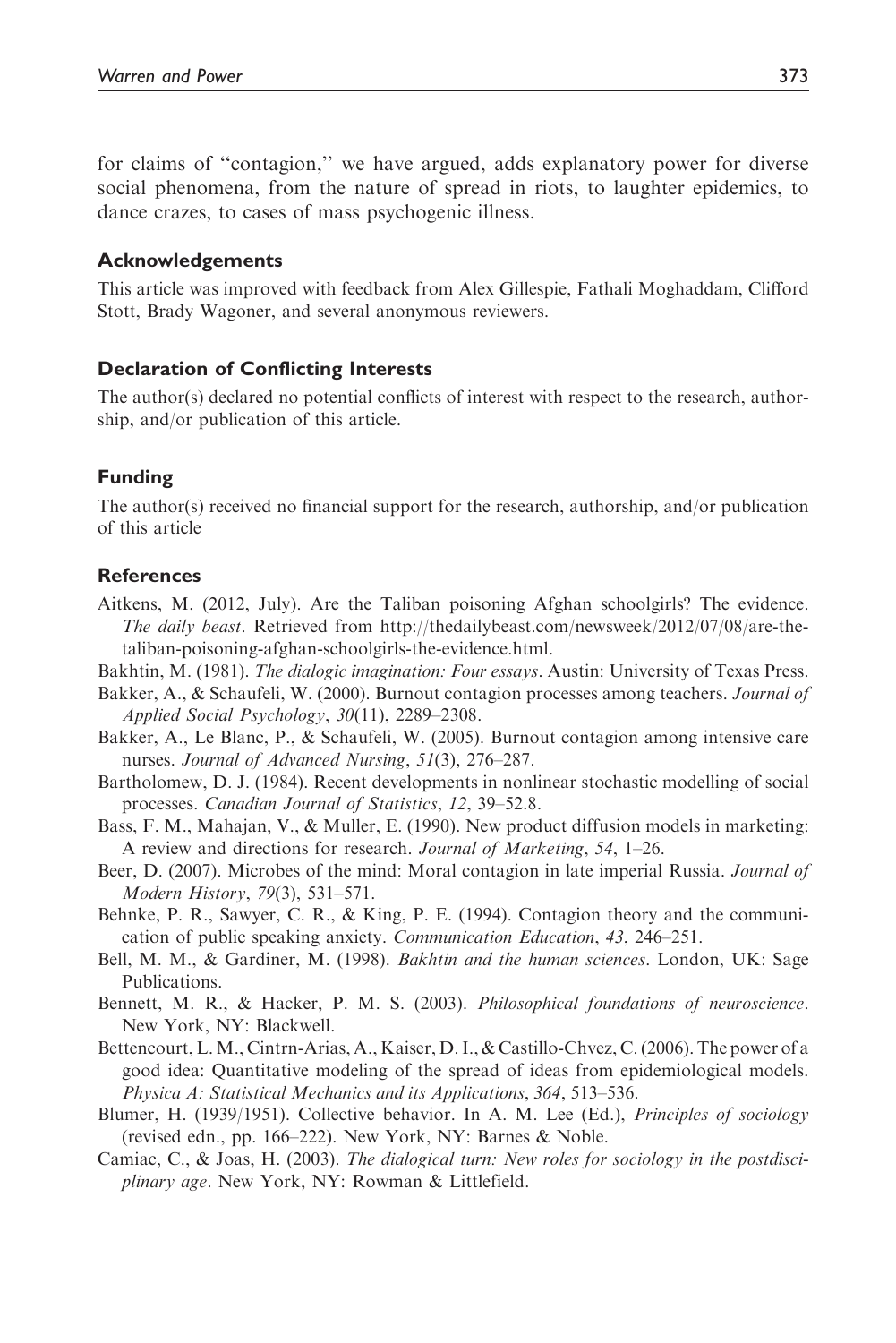for claims of ''contagion,'' we have argued, adds explanatory power for diverse social phenomena, from the nature of spread in riots, to laughter epidemics, to dance crazes, to cases of mass psychogenic illness.

#### Acknowledgements

This article was improved with feedback from Alex Gillespie, Fathali Moghaddam, Clifford Stott, Brady Wagoner, and several anonymous reviewers.

#### Declaration of Conflicting Interests

The author(s) declared no potential conflicts of interest with respect to the research, authorship, and/or publication of this article.

#### Funding

The author(s) received no financial support for the research, authorship, and/or publication of this article

#### References

- Aitkens, M. (2012, July). Are the Taliban poisoning Afghan schoolgirls? The evidence. The daily beast. Retrieved from http://thedailybeast.com/newsweek/2012/07/08/are-thetaliban-poisoning-afghan-schoolgirls-the-evidence.html.
- Bakhtin, M. (1981). The dialogic imagination: Four essays. Austin: University of Texas Press.
- Bakker, A., & Schaufeli, W. (2000). Burnout contagion processes among teachers. Journal of Applied Social Psychology, 30(11), 2289–2308.
- Bakker, A., Le Blanc, P., & Schaufeli, W. (2005). Burnout contagion among intensive care nurses. Journal of Advanced Nursing, 51(3), 276–287.
- Bartholomew, D. J. (1984). Recent developments in nonlinear stochastic modelling of social processes. Canadian Journal of Statistics, 12, 39–52.8.
- Bass, F. M., Mahajan, V., & Muller, E. (1990). New product diffusion models in marketing: A review and directions for research. Journal of Marketing, 54, 1–26.
- Beer, D. (2007). Microbes of the mind: Moral contagion in late imperial Russia. *Journal of* Modern History, 79(3), 531–571.
- Behnke, P. R., Sawyer, C. R., & King, P. E. (1994). Contagion theory and the communication of public speaking anxiety. Communication Education, 43, 246–251.
- Bell, M. M., & Gardiner, M. (1998). *Bakhtin and the human sciences*. London, UK: Sage Publications.
- Bennett, M. R., & Hacker, P. M. S. (2003). Philosophical foundations of neuroscience. New York, NY: Blackwell.
- Bettencourt, L.M., Cintrn-Arias, A., Kaiser, D. I., & Castillo-Chvez, C. (2006). The power of a good idea: Quantitative modeling of the spread of ideas from epidemiological models. Physica A: Statistical Mechanics and its Applications, 364, 513–536.
- Blumer, H. (1939/1951). Collective behavior. In A. M. Lee (Ed.), Principles of sociology (revised edn., pp. 166–222). New York, NY: Barnes & Noble.
- Camiac, C., & Joas, H. (2003). The dialogical turn: New roles for sociology in the postdisciplinary age. New York, NY: Rowman & Littlefield.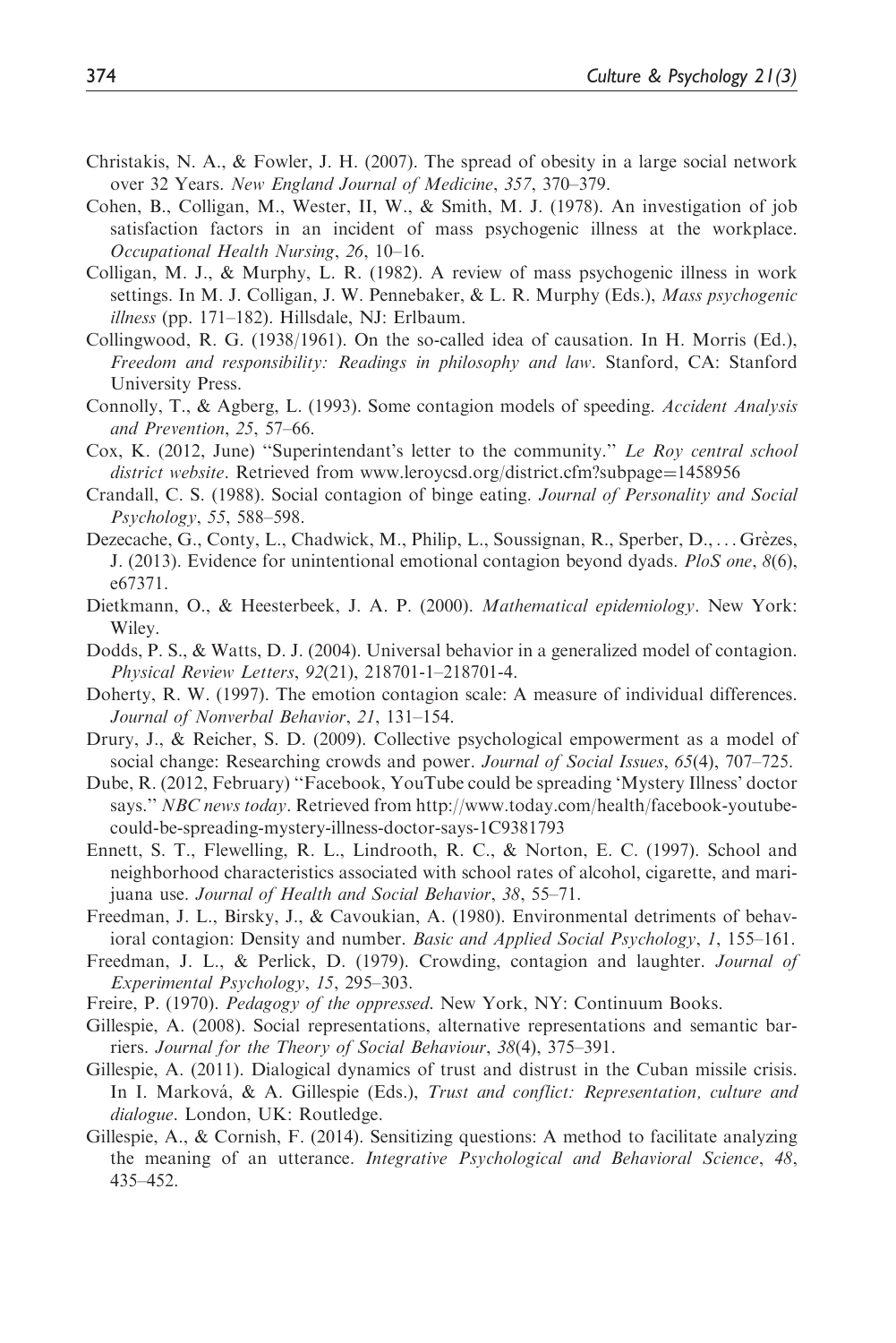- Christakis, N. A., & Fowler, J. H. (2007). The spread of obesity in a large social network over 32 Years. New England Journal of Medicine, 357, 370–379.
- Cohen, B., Colligan, M., Wester, II, W., & Smith, M. J. (1978). An investigation of job satisfaction factors in an incident of mass psychogenic illness at the workplace. Occupational Health Nursing, 26, 10–16.
- Colligan, M. J., & Murphy, L. R. (1982). A review of mass psychogenic illness in work settings. In M. J. Colligan, J. W. Pennebaker,  $&L$ . R. Murphy (Eds.), *Mass psychogenic* illness (pp. 171–182). Hillsdale, NJ: Erlbaum.
- Collingwood, R. G. (1938/1961). On the so-called idea of causation. In H. Morris (Ed.), Freedom and responsibility: Readings in philosophy and law. Stanford, CA: Stanford University Press.
- Connolly, T., & Agberg, L. (1993). Some contagion models of speeding. Accident Analysis and Prevention, 25, 57–66.
- Cox, K. (2012, June) "Superintendant's letter to the community." Le Roy central school district website. Retrieved from www.leroycsd.org/district.cfm?subpage=1458956
- Crandall, C. S. (1988). Social contagion of binge eating. Journal of Personality and Social Psychology, 55, 588–598.
- Dezecache, G., Conty, L., Chadwick, M., Philip, L., Soussignan, R., Sperber, D., ... Grèzes, J. (2013). Evidence for unintentional emotional contagion beyond dyads. PloS one,  $8(6)$ , e67371.
- Dietkmann, O., & Heesterbeek, J. A. P. (2000). Mathematical epidemiology. New York: Wiley.
- Dodds, P. S., & Watts, D. J. (2004). Universal behavior in a generalized model of contagion. Physical Review Letters, 92(21), 218701-1–218701-4.
- Doherty, R. W. (1997). The emotion contagion scale: A measure of individual differences. Journal of Nonverbal Behavior, 21, 131–154.
- Drury, J., & Reicher, S. D. (2009). Collective psychological empowerment as a model of social change: Researching crowds and power. Journal of Social Issues, 65(4), 707-725.
- Dube, R. (2012, February) ''Facebook, YouTube could be spreading 'Mystery Illness' doctor says." NBC news today. Retrieved from http://www.today.com/health/facebook-youtubecould-be-spreading-mystery-illness-doctor-says-1C9381793
- Ennett, S. T., Flewelling, R. L., Lindrooth, R. C., & Norton, E. C. (1997). School and neighborhood characteristics associated with school rates of alcohol, cigarette, and marijuana use. Journal of Health and Social Behavior, 38, 55–71.
- Freedman, J. L., Birsky, J., & Cavoukian, A. (1980). Environmental detriments of behavioral contagion: Density and number. Basic and Applied Social Psychology, 1, 155–161.
- Freedman, J. L., & Perlick, D. (1979). Crowding, contagion and laughter. Journal of Experimental Psychology, 15, 295–303.
- Freire, P. (1970). Pedagogy of the oppressed. New York, NY: Continuum Books.
- Gillespie, A. (2008). Social representations, alternative representations and semantic barriers. Journal for the Theory of Social Behaviour, 38(4), 375–391.
- Gillespie, A. (2011). Dialogical dynamics of trust and distrust in the Cuban missile crisis. In I. Marková, & A. Gillespie (Eds.), Trust and conflict: Representation, culture and dialogue. London, UK: Routledge.
- Gillespie, A., & Cornish, F. (2014). Sensitizing questions: A method to facilitate analyzing the meaning of an utterance. Integrative Psychological and Behavioral Science, 48, 435–452.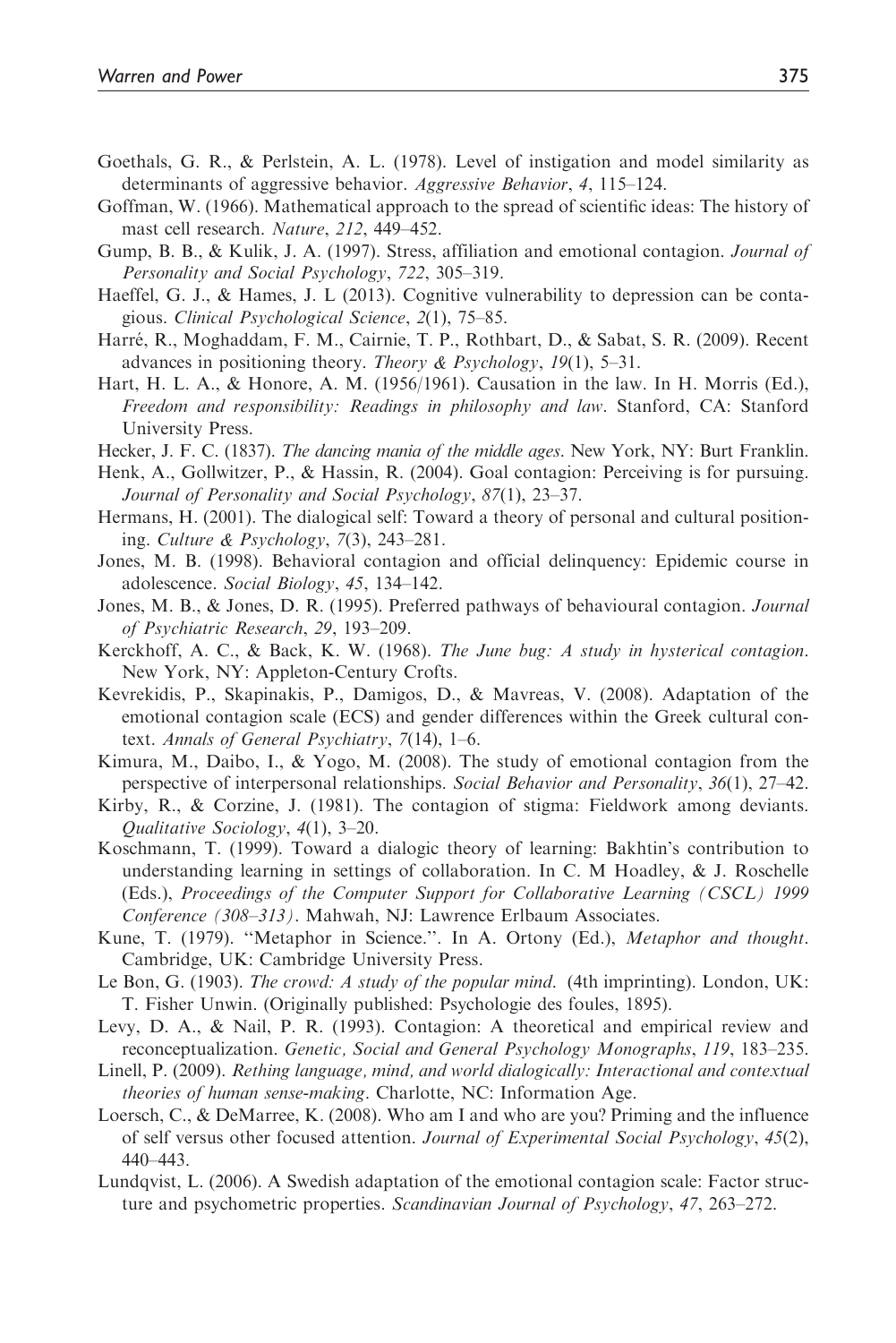- Goethals, G. R., & Perlstein, A. L. (1978). Level of instigation and model similarity as determinants of aggressive behavior. Aggressive Behavior, 4, 115–124.
- Goffman, W. (1966). Mathematical approach to the spread of scientific ideas: The history of mast cell research. Nature, 212, 449–452.
- Gump, B. B., & Kulik, J. A. (1997). Stress, affiliation and emotional contagion. Journal of Personality and Social Psychology, 722, 305–319.
- Haeffel, G. J., & Hames, J. L (2013). Cognitive vulnerability to depression can be contagious. Clinical Psychological Science, 2(1), 75–85.
- Harré, R., Moghaddam, F. M., Cairnie, T. P., Rothbart, D., & Sabat, S. R. (2009). Recent advances in positioning theory. Theory & Psychology, 19(1), 5–31.
- Hart, H. L. A., & Honore, A. M. (1956/1961). Causation in the law. In H. Morris (Ed.), Freedom and responsibility: Readings in philosophy and law. Stanford, CA: Stanford University Press.
- Hecker, J. F. C. (1837). The dancing mania of the middle ages. New York, NY: Burt Franklin.
- Henk, A., Gollwitzer, P., & Hassin, R. (2004). Goal contagion: Perceiving is for pursuing. Journal of Personality and Social Psychology, 87(1), 23–37.
- Hermans, H. (2001). The dialogical self: Toward a theory of personal and cultural positioning. Culture & Psychology, 7(3), 243–281.
- Jones, M. B. (1998). Behavioral contagion and official delinquency: Epidemic course in adolescence. Social Biology, 45, 134–142.
- Jones, M. B., & Jones, D. R. (1995). Preferred pathways of behavioural contagion. Journal of Psychiatric Research, 29, 193–209.
- Kerckhoff, A. C., & Back, K. W. (1968). The June bug: A study in hysterical contagion. New York, NY: Appleton-Century Crofts.
- Kevrekidis, P., Skapinakis, P., Damigos, D., & Mavreas, V. (2008). Adaptation of the emotional contagion scale (ECS) and gender differences within the Greek cultural context. Annals of General Psychiatry, 7(14), 1–6.
- Kimura, M., Daibo, I., & Yogo, M. (2008). The study of emotional contagion from the perspective of interpersonal relationships. Social Behavior and Personality, 36(1), 27–42.
- Kirby, R., & Corzine, J. (1981). The contagion of stigma: Fieldwork among deviants. Qualitative Sociology, 4(1), 3–20.
- Koschmann, T. (1999). Toward a dialogic theory of learning: Bakhtin's contribution to understanding learning in settings of collaboration. In C. M Hoadley,  $\&$  J. Roschelle (Eds.), Proceedings of the Computer Support for Collaborative Learning (CSCL) 1999 Conference (308–313). Mahwah, NJ: Lawrence Erlbaum Associates.
- Kune, T. (1979). ''Metaphor in Science.''. In A. Ortony (Ed.), Metaphor and thought. Cambridge, UK: Cambridge University Press.
- Le Bon, G. (1903). The crowd: A study of the popular mind. (4th imprinting). London, UK: T. Fisher Unwin. (Originally published: Psychologie des foules, 1895).
- Levy, D. A., & Nail, P. R. (1993). Contagion: A theoretical and empirical review and reconceptualization. Genetic, Social and General Psychology Monographs, 119, 183–235.
- Linell, P. (2009). Rething language, mind, and world dialogically: Interactional and contextual theories of human sense-making. Charlotte, NC: Information Age.
- Loersch, C., & DeMarree, K. (2008). Who am I and who are you? Priming and the influence of self versus other focused attention. Journal of Experimental Social Psychology, 45(2), 440–443.
- Lundqvist, L. (2006). A Swedish adaptation of the emotional contagion scale: Factor structure and psychometric properties. Scandinavian Journal of Psychology, 47, 263–272.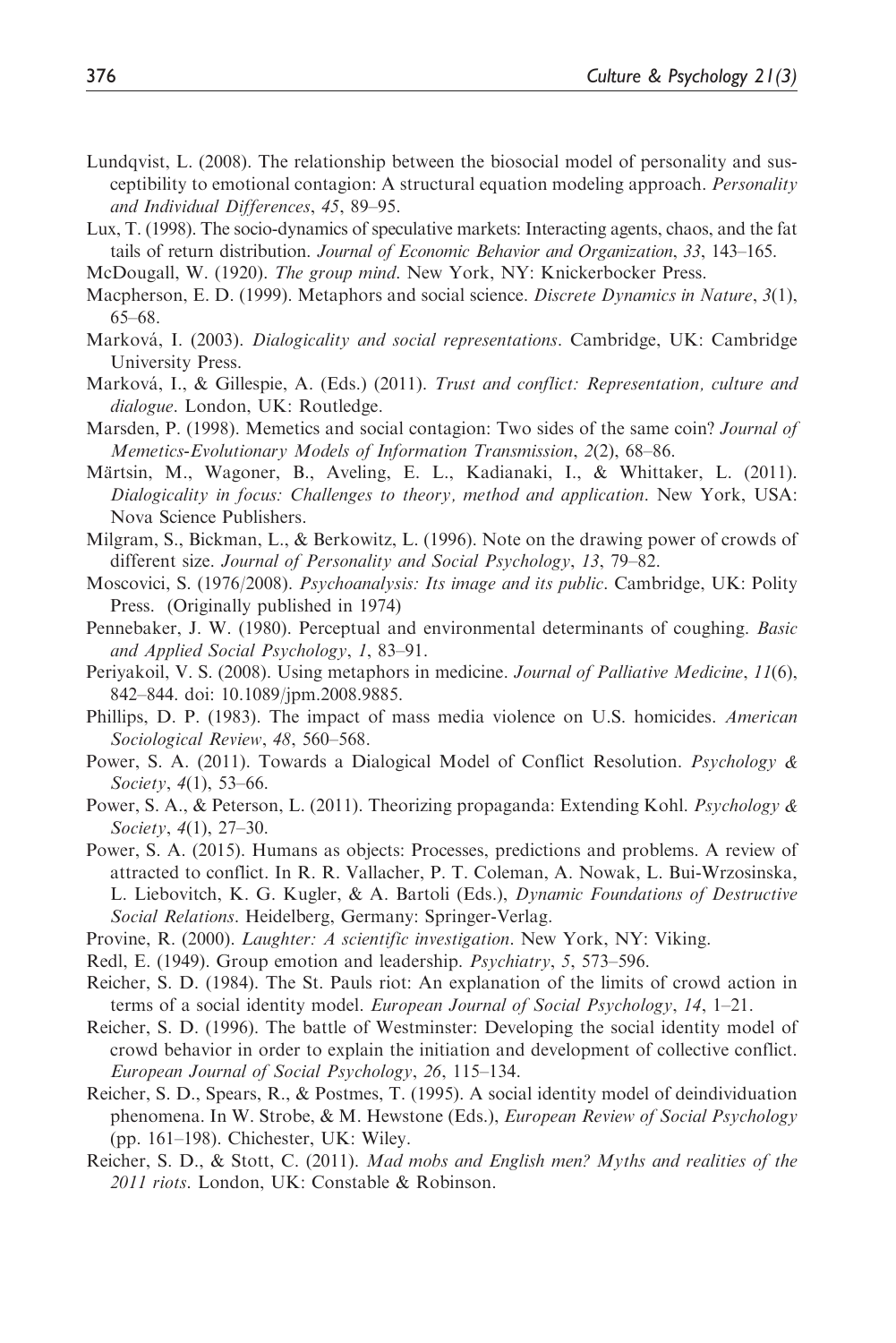- Lundqvist, L. (2008). The relationship between the biosocial model of personality and susceptibility to emotional contagion: A structural equation modeling approach. *Personality* and Individual Differences, 45, 89–95.
- Lux, T. (1998). The socio-dynamics of speculative markets: Interacting agents, chaos, and the fat tails of return distribution. Journal of Economic Behavior and Organization, 33, 143–165.
- McDougall, W. (1920). The group mind. New York, NY: Knickerbocker Press.
- Macpherson, E. D. (1999). Metaphors and social science. Discrete Dynamics in Nature, 3(1), 65–68.
- Marková, I. (2003). Dialogicality and social representations. Cambridge, UK: Cambridge University Press.
- Marková, I., & Gillespie, A. (Eds.) (2011). Trust and conflict: Representation, culture and dialogue. London, UK: Routledge.
- Marsden, P. (1998). Memetics and social contagion: Two sides of the same coin? *Journal of* Memetics-Evolutionary Models of Information Transmission, 2(2), 68–86.
- Märtsin, M., Wagoner, B., Aveling, E. L., Kadianaki, I., & Whittaker, L. (2011). Dialogicality in focus: Challenges to theory, method and application. New York, USA: Nova Science Publishers.
- Milgram, S., Bickman, L., & Berkowitz, L. (1996). Note on the drawing power of crowds of different size. Journal of Personality and Social Psychology, 13, 79–82.
- Moscovici, S. (1976/2008). Psychoanalysis: Its image and its public. Cambridge, UK: Polity Press. (Originally published in 1974)
- Pennebaker, J. W. (1980). Perceptual and environmental determinants of coughing. Basic and Applied Social Psychology, 1, 83–91.
- Periyakoil, V. S. (2008). Using metaphors in medicine. Journal of Palliative Medicine, 11(6), 842–844. doi: 10.1089/jpm.2008.9885.
- Phillips, D. P. (1983). The impact of mass media violence on U.S. homicides. American Sociological Review, 48, 560–568.
- Power, S. A. (2011). Towards a Dialogical Model of Conflict Resolution. *Psychology*  $\&$ Society, 4(1), 53–66.
- Power, S. A., & Peterson, L. (2011). Theorizing propaganda: Extending Kohl. *Psychology* & Society, 4(1), 27–30.
- Power, S. A. (2015). Humans as objects: Processes, predictions and problems. A review of attracted to conflict. In R. R. Vallacher, P. T. Coleman, A. Nowak, L. Bui-Wrzosinska, L. Liebovitch, K. G. Kugler, & A. Bartoli (Eds.), Dynamic Foundations of Destructive Social Relations. Heidelberg, Germany: Springer-Verlag.
- Provine, R. (2000). Laughter: A scientific investigation. New York, NY: Viking.
- Redl, E. (1949). Group emotion and leadership. Psychiatry, 5, 573–596.
- Reicher, S. D. (1984). The St. Pauls riot: An explanation of the limits of crowd action in terms of a social identity model. European Journal of Social Psychology, 14, 1-21.
- Reicher, S. D. (1996). The battle of Westminster: Developing the social identity model of crowd behavior in order to explain the initiation and development of collective conflict. European Journal of Social Psychology, 26, 115–134.
- Reicher, S. D., Spears, R., & Postmes, T. (1995). A social identity model of deindividuation phenomena. In W. Strobe, & M. Hewstone (Eds.), European Review of Social Psychology (pp. 161–198). Chichester, UK: Wiley.
- Reicher, S. D., & Stott, C. (2011). Mad mobs and English men? Myths and realities of the 2011 riots. London, UK: Constable & Robinson.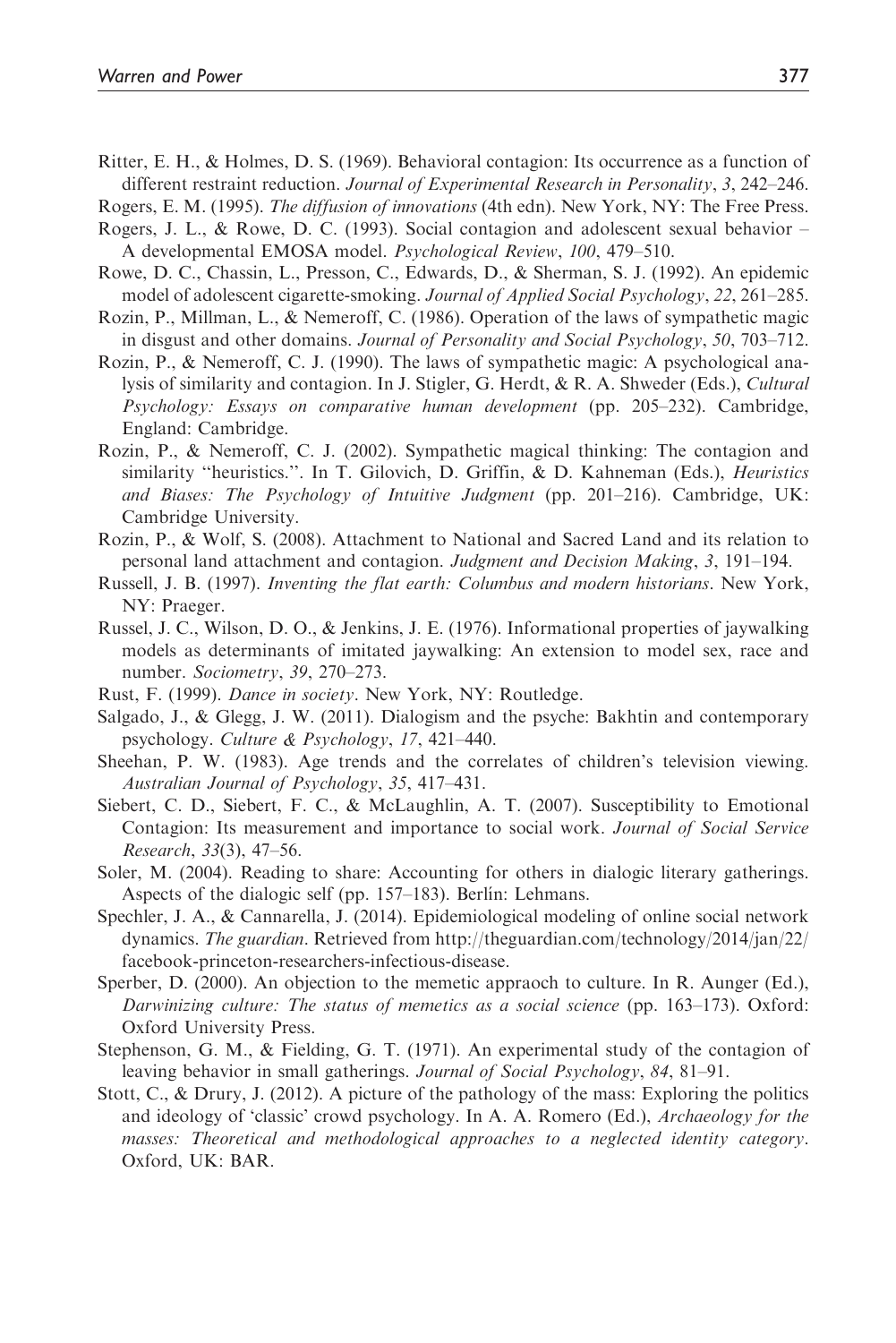Ritter, E. H., & Holmes, D. S. (1969). Behavioral contagion: Its occurrence as a function of different restraint reduction. Journal of Experimental Research in Personality, 3, 242–246.

Rogers, E. M. (1995). The diffusion of innovations (4th edn). New York, NY: The Free Press.

- Rogers, J. L., & Rowe, D. C. (1993). Social contagion and adolescent sexual behavior A developmental EMOSA model. Psychological Review, 100, 479–510.
- Rowe, D. C., Chassin, L., Presson, C., Edwards, D., & Sherman, S. J. (1992). An epidemic model of adolescent cigarette-smoking. Journal of Applied Social Psychology, 22, 261–285.
- Rozin, P., Millman, L., & Nemeroff, C. (1986). Operation of the laws of sympathetic magic in disgust and other domains. Journal of Personality and Social Psychology, 50, 703–712.
- Rozin, P., & Nemeroff, C. J. (1990). The laws of sympathetic magic: A psychological analysis of similarity and contagion. In J. Stigler, G. Herdt, & R. A. Shweder (Eds.), Cultural Psychology: Essays on comparative human development (pp. 205–232). Cambridge, England: Cambridge.
- Rozin, P., & Nemeroff, C. J. (2002). Sympathetic magical thinking: The contagion and similarity "heuristics.". In T. Gilovich, D. Griffin, & D. Kahneman (Eds.), *Heuristics* and Biases: The Psychology of Intuitive Judgment (pp. 201–216). Cambridge, UK: Cambridge University.
- Rozin, P., & Wolf, S. (2008). Attachment to National and Sacred Land and its relation to personal land attachment and contagion. Judgment and Decision Making, 3, 191–194.
- Russell, J. B. (1997). Inventing the flat earth: Columbus and modern historians. New York, NY: Praeger.
- Russel, J. C., Wilson, D. O., & Jenkins, J. E. (1976). Informational properties of jaywalking models as determinants of imitated jaywalking: An extension to model sex, race and number. Sociometry, 39, 270–273.
- Rust, F. (1999). Dance in society. New York, NY: Routledge.
- Salgado, J., & Glegg, J. W. (2011). Dialogism and the psyche: Bakhtin and contemporary psychology. Culture & Psychology, 17, 421–440.
- Sheehan, P. W. (1983). Age trends and the correlates of children's television viewing. Australian Journal of Psychology, 35, 417–431.
- Siebert, C. D., Siebert, F. C., & McLaughlin, A. T. (2007). Susceptibility to Emotional Contagion: Its measurement and importance to social work. Journal of Social Service Research, 33(3), 47–56.
- Soler, M. (2004). Reading to share: Accounting for others in dialogic literary gatherings. Aspects of the dialogic self (pp. 157–183). Berlín: Lehmans.
- Spechler, J. A., & Cannarella, J. (2014). Epidemiological modeling of online social network dynamics. The guardian. Retrieved from http://theguardian.com/technology/2014/jan/22/ facebook-princeton-researchers-infectious-disease.
- Sperber, D. (2000). An objection to the memetic appraoch to culture. In R. Aunger (Ed.), Darwinizing culture: The status of memetics as a social science (pp. 163–173). Oxford: Oxford University Press.
- Stephenson, G. M., & Fielding, G. T. (1971). An experimental study of the contagion of leaving behavior in small gatherings. Journal of Social Psychology, 84, 81–91.
- Stott, C., & Drury, J. (2012). A picture of the pathology of the mass: Exploring the politics and ideology of 'classic' crowd psychology. In A. A. Romero (Ed.), Archaeology for the masses: Theoretical and methodological approaches to a neglected identity category. Oxford, UK: BAR.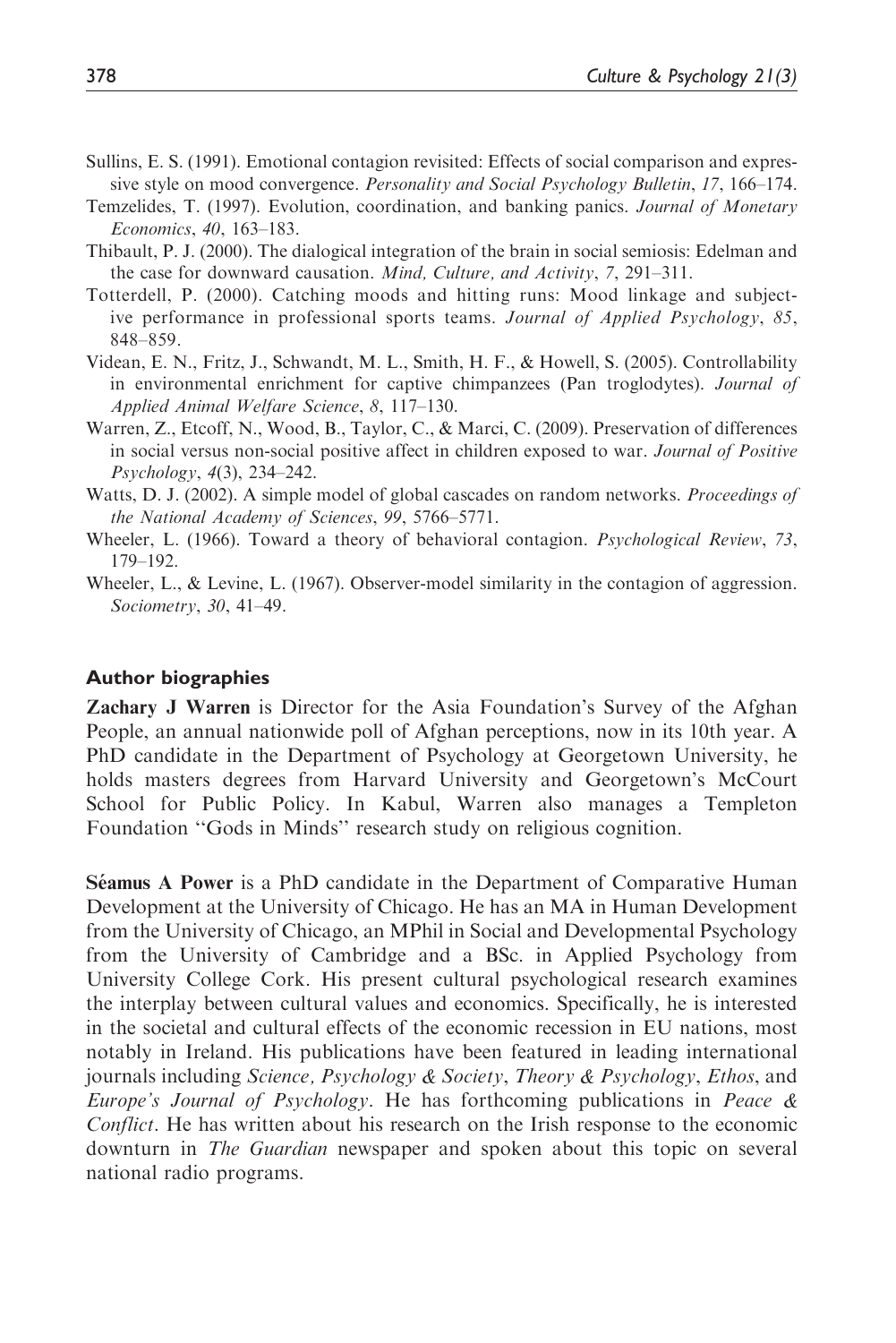- Sullins, E. S. (1991). Emotional contagion revisited: Effects of social comparison and expressive style on mood convergence. *Personality and Social Psychology Bulletin*, 17, 166–174.
- Temzelides, T. (1997). Evolution, coordination, and banking panics. Journal of Monetary Economics, 40, 163–183.
- Thibault, P. J. (2000). The dialogical integration of the brain in social semiosis: Edelman and the case for downward causation. Mind, Culture, and Activity, 7, 291–311.
- Totterdell, P. (2000). Catching moods and hitting runs: Mood linkage and subjective performance in professional sports teams. Journal of Applied Psychology, 85, 848–859.
- Videan, E. N., Fritz, J., Schwandt, M. L., Smith, H. F., & Howell, S. (2005). Controllability in environmental enrichment for captive chimpanzees (Pan troglodytes). Journal of Applied Animal Welfare Science, 8, 117–130.
- Warren, Z., Etcoff, N., Wood, B., Taylor, C., & Marci, C. (2009). Preservation of differences in social versus non-social positive affect in children exposed to war. Journal of Positive Psychology, 4(3), 234–242.
- Watts, D. J. (2002). A simple model of global cascades on random networks. *Proceedings of* the National Academy of Sciences, 99, 5766–5771.
- Wheeler, L. (1966). Toward a theory of behavioral contagion. *Psychological Review*, 73, 179–192.
- Wheeler, L., & Levine, L. (1967). Observer-model similarity in the contagion of aggression. Sociometry, 30, 41–49.

#### Author biographies

Zachary J Warren is Director for the Asia Foundation's Survey of the Afghan People, an annual nationwide poll of Afghan perceptions, now in its 10th year. A PhD candidate in the Department of Psychology at Georgetown University, he holds masters degrees from Harvard University and Georgetown's McCourt School for Public Policy. In Kabul, Warren also manages a Templeton Foundation ''Gods in Minds'' research study on religious cognition.

**Séamus A Power** is a PhD candidate in the Department of Comparative Human Development at the University of Chicago. He has an MA in Human Development from the University of Chicago, an MPhil in Social and Developmental Psychology from the University of Cambridge and a BSc. in Applied Psychology from University College Cork. His present cultural psychological research examines the interplay between cultural values and economics. Specifically, he is interested in the societal and cultural effects of the economic recession in EU nations, most notably in Ireland. His publications have been featured in leading international journals including Science, Psychology & Society, Theory & Psychology, Ethos, and *Europe's Journal of Psychology.* He has forthcoming publications in *Peace &* Conflict. He has written about his research on the Irish response to the economic downturn in *The Guardian* newspaper and spoken about this topic on several national radio programs.